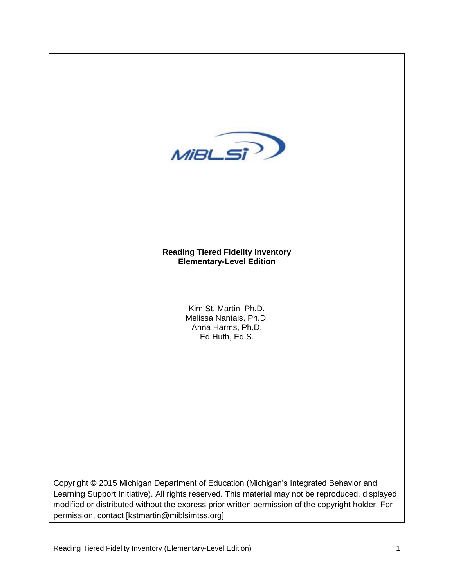

## **Reading Tiered Fidelity Inventory Elementary-Level Edition**

Kim St. Martin, Ph.D. Melissa Nantais, Ph.D. Anna Harms, Ph.D. Ed Huth, Ed.S.

Copyright © 2015 Michigan Department of Education (Michigan's Integrated Behavior and Learning Support Initiative). All rights reserved. This material may not be reproduced, displayed, modified or distributed without the express prior written permission of the copyright holder. For permission, contact [kstmartin@miblsimtss.org]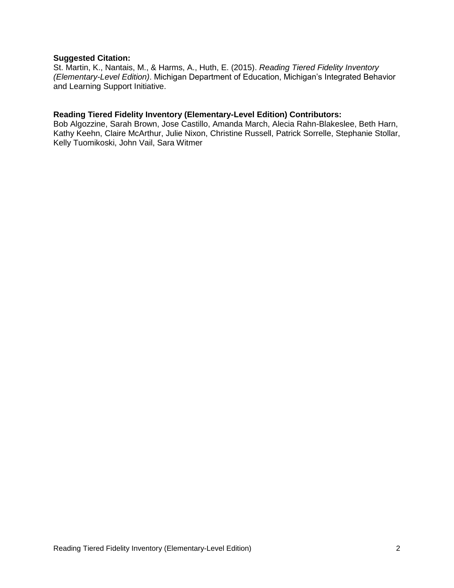#### **Suggested Citation:**

St. Martin, K., Nantais, M., & Harms, A., Huth, E. (2015). *Reading Tiered Fidelity Inventory (Elementary-Level Edition)*. Michigan Department of Education, Michigan's Integrated Behavior and Learning Support Initiative.

#### **Reading Tiered Fidelity Inventory (Elementary-Level Edition) Contributors:**

Bob Algozzine, Sarah Brown, Jose Castillo, Amanda March, Alecia Rahn-Blakeslee, Beth Harn, Kathy Keehn, Claire McArthur, Julie Nixon, Christine Russell, Patrick Sorrelle, Stephanie Stollar, Kelly Tuomikoski, John Vail, Sara Witmer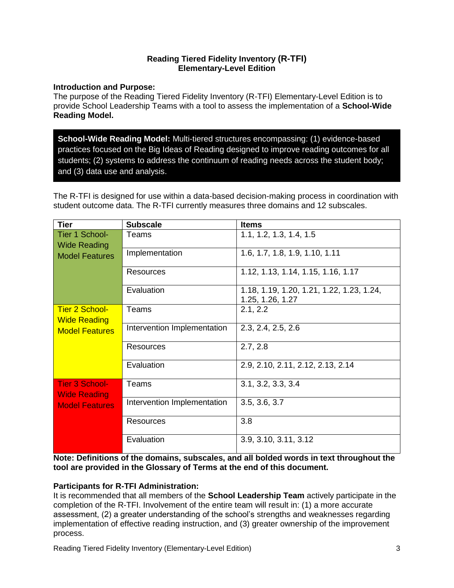### **Reading Tiered Fidelity Inventory (R-TFI) Elementary-Level Edition**

### **Introduction and Purpose:**

The purpose of the Reading Tiered Fidelity Inventory (R-TFI) Elementary-Level Edition is to provide School Leadership Teams with a tool to assess the implementation of a **School-Wide Reading Model.**

**School-Wide Reading Model:** Multi-tiered structures encompassing: (1) evidence-based practices focused on the Big Ideas of Reading designed to improve reading outcomes for all students; (2) systems to address the continuum of reading needs across the student body; and (3) data use and analysis.

The R-TFI is designed for use within a data-based decision-making process in coordination with student outcome data. The R-TFI currently measures three domains and 12 subscales.

| <b>Tier</b>                                  | <b>Subscale</b>             | <b>Items</b>                                                  |
|----------------------------------------------|-----------------------------|---------------------------------------------------------------|
| Tier 1 School-<br><b>Wide Reading</b>        | Teams                       | 1.1, 1.2, 1.3, 1.4, 1.5                                       |
| <b>Model Features</b>                        | Implementation              | 1.6, 1.7, 1.8, 1.9, 1.10, 1.11                                |
|                                              | <b>Resources</b>            | 1.12, 1.13, 1.14, 1.15, 1.16, 1.17                            |
|                                              | Evaluation                  | 1.18, 1.19, 1.20, 1.21, 1.22, 1.23, 1.24,<br>1.25, 1.26, 1.27 |
| <b>Tier 2 School-</b><br><b>Wide Reading</b> | Teams                       | 2.1, 2.2                                                      |
| <b>Model Features</b>                        | Intervention Implementation | 2.3, 2.4, 2.5, 2.6                                            |
|                                              | Resources                   | 2.7, 2.8                                                      |
|                                              | Evaluation                  | 2.9, 2.10, 2.11, 2.12, 2.13, 2.14                             |
| <b>Tier 3 School-</b><br><b>Wide Reading</b> | Teams                       | 3.1, 3.2, 3.3, 3.4                                            |
| <b>Model Features</b>                        | Intervention Implementation | 3.5, 3.6, 3.7                                                 |
|                                              | Resources                   | 3.8                                                           |
|                                              | Evaluation                  | 3.9, 3.10, 3.11, 3.12                                         |

**Note: Definitions of the domains, subscales, and all bolded words in text throughout the tool are provided in the Glossary of Terms at the end of this document.**

# **Participants for R-TFI Administration:**

It is recommended that all members of the **School Leadership Team** actively participate in the completion of the R-TFI. Involvement of the entire team will result in: (1) a more accurate assessment, (2) a greater understanding of the school's strengths and weaknesses regarding implementation of effective reading instruction, and (3) greater ownership of the improvement process.

Reading Tiered Fidelity Inventory (Elementary-Level Edition) 3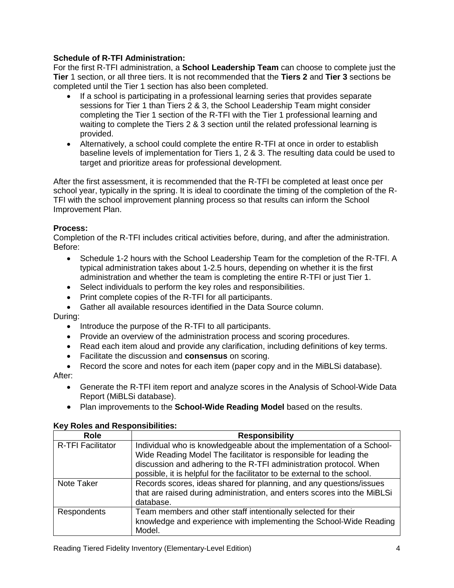## **Schedule of R-TFI Administration:**

For the first R-TFI administration, a **School Leadership Team** can choose to complete just the **Tier** 1 section, or all three tiers. It is not recommended that the **Tiers 2** and **Tier 3** sections be completed until the Tier 1 section has also been completed.

- If a school is participating in a professional learning series that provides separate sessions for Tier 1 than Tiers 2 & 3, the School Leadership Team might consider completing the Tier 1 section of the R-TFI with the Tier 1 professional learning and waiting to complete the Tiers 2 & 3 section until the related professional learning is provided.
- Alternatively, a school could complete the entire R-TFI at once in order to establish baseline levels of implementation for Tiers 1, 2 & 3. The resulting data could be used to target and prioritize areas for professional development.

After the first assessment, it is recommended that the R-TFI be completed at least once per school year, typically in the spring. It is ideal to coordinate the timing of the completion of the R-TFI with the school improvement planning process so that results can inform the School Improvement Plan.

## **Process:**

Completion of the R-TFI includes critical activities before, during, and after the administration. Before:

- Schedule 1-2 hours with the School Leadership Team for the completion of the R-TFI. A typical administration takes about 1-2.5 hours, depending on whether it is the first administration and whether the team is completing the entire R-TFI or just Tier 1.
- Select individuals to perform the key roles and responsibilities.
- Print complete copies of the R-TFI for all participants.
- Gather all available resources identified in the Data Source column.

During:

- Introduce the purpose of the R-TFI to all participants.
- Provide an overview of the administration process and scoring procedures.
- Read each item aloud and provide any clarification, including definitions of key terms.
- Facilitate the discussion and **consensus** on scoring.
- Record the score and notes for each item (paper copy and in the MiBLSi database).

After:

- Generate the R-TFI item report and analyze scores in the Analysis of School-Wide Data Report (MiBLSi database).
- Plan improvements to the **School-Wide Reading Model** based on the results.

### **Key Roles and Responsibilities:**

| <b>Role</b>              | <b>Responsibility</b>                                                     |
|--------------------------|---------------------------------------------------------------------------|
| <b>R-TFI Facilitator</b> | Individual who is knowledgeable about the implementation of a School-     |
|                          | Wide Reading Model The facilitator is responsible for leading the         |
|                          | discussion and adhering to the R-TFI administration protocol. When        |
|                          | possible, it is helpful for the facilitator to be external to the school. |
| Note Taker               | Records scores, ideas shared for planning, and any questions/issues       |
|                          | that are raised during administration, and enters scores into the MiBLSi  |
|                          | database.                                                                 |
| <b>Respondents</b>       | Team members and other staff intentionally selected for their             |
|                          | knowledge and experience with implementing the School-Wide Reading        |
|                          | Model.                                                                    |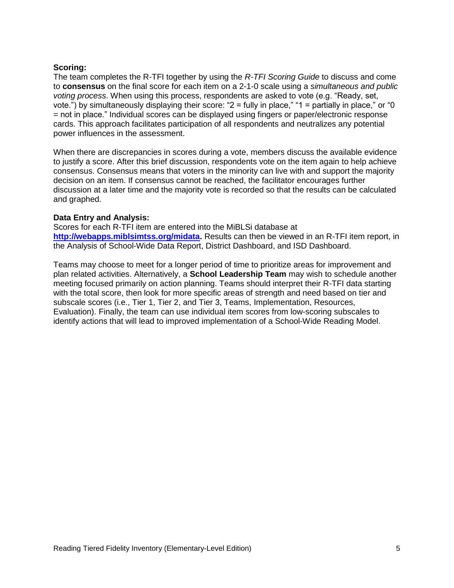#### **Scoring:**

The team completes the R-TFI together by using the *R-TFI Scoring Guide* to discuss and come to **consensus** on the final score for each item on a 2-1-0 scale using a *simultaneous and public voting process*. When using this process, respondents are asked to vote (e.g. "Ready, set, vote.") by simultaneously displaying their score: "2 = fully in place," "1 = partially in place," or "0 = not in place." Individual scores can be displayed using fingers or paper/electronic response cards. This approach facilitates participation of all respondents and neutralizes any potential power influences in the assessment.

When there are discrepancies in scores during a vote, members discuss the available evidence to justify a score. After this brief discussion, respondents vote on the item again to help achieve consensus. Consensus means that voters in the minority can live with and support the majority decision on an item. If consensus cannot be reached, the facilitator encourages further discussion at a later time and the majority vote is recorded so that the results can be calculated and graphed.

### **Data Entry and Analysis:**

Scores for each R-TFI item are entered into the MiBLSi database at **[http://webapps.miblsimtss.org/midata.](http://webapps.miblsimtss.org/midata)** Results can then be viewed in an R-TFI item report, in the Analysis of School-Wide Data Report, District Dashboard, and ISD Dashboard.

Teams may choose to meet for a longer period of time to prioritize areas for improvement and plan related activities. Alternatively, a **School Leadership Team** may wish to schedule another meeting focused primarily on action planning. Teams should interpret their R-TFI data starting with the total score, then look for more specific areas of strength and need based on tier and subscale scores (i.e., Tier 1, Tier 2, and Tier 3, Teams, Implementation, Resources, Evaluation). Finally, the team can use individual item scores from low-scoring subscales to identify actions that will lead to improved implementation of a School-Wide Reading Model.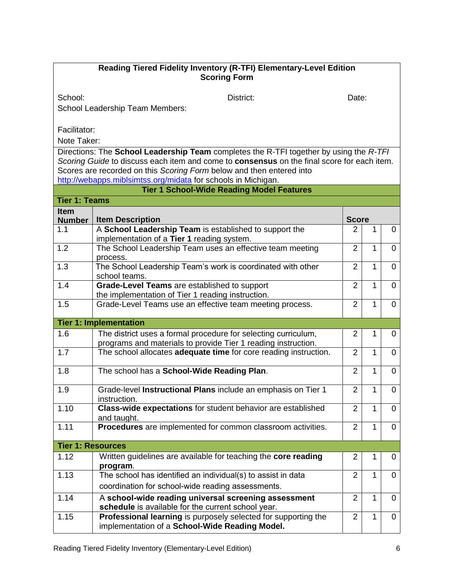## **Reading Tiered Fidelity Inventory (R-TFI) Elementary-Level Edition Scoring Form**

School: District: District: District: Date:

School Leadership Team Members:

Facilitator:

Note Taker:

Directions: The **School Leadership Team** completes the R-TFI together by using the *R-TFI Scoring Guide* to discuss each item and come to **consensus** on the final score for each item. Scores are recorded on this *Scoring Form* below and then entered into <http://webapps.miblsimtss.org/midata></u> for schools in Michigan.

|                              | <b>Tier 1 School-Wide Reading Model Features</b>                                                                                |                |              |                |
|------------------------------|---------------------------------------------------------------------------------------------------------------------------------|----------------|--------------|----------------|
| <b>Tier 1: Teams</b>         |                                                                                                                                 |                |              |                |
| <b>Item</b><br><b>Number</b> | <b>Item Description</b>                                                                                                         | <b>Score</b>   |              |                |
| 1.1                          | A School Leadership Team is established to support the<br>implementation of a Tier 1 reading system.                            | 2              | 1            | 0              |
| 1.2                          | The School Leadership Team uses an effective team meeting<br>process.                                                           | $\overline{2}$ | 1            | $\overline{0}$ |
| 1.3                          | The School Leadership Team's work is coordinated with other<br>school teams.                                                    | $\overline{2}$ | 1            | 0              |
| 1.4                          | Grade-Level Teams are established to support<br>the implementation of Tier 1 reading instruction.                               | $\overline{2}$ | 1            | $\overline{0}$ |
| 1.5                          | Grade-Level Teams use an effective team meeting process.                                                                        | $\overline{2}$ | 1            | 0              |
|                              | <b>Tier 1: Implementation</b>                                                                                                   |                |              |                |
| 1.6                          | The district uses a formal procedure for selecting curriculum,<br>programs and materials to provide Tier 1 reading instruction. | $\overline{2}$ | 1            | 0              |
| 1.7                          | The school allocates adequate time for core reading instruction.                                                                | $\overline{2}$ | 1            | $\overline{0}$ |
| 1.8                          | The school has a School-Wide Reading Plan.                                                                                      | $\overline{2}$ | 1            | $\Omega$       |
| 1.9                          | Grade-level Instructional Plans include an emphasis on Tier 1<br>instruction.                                                   | $\overline{2}$ | 1            | $\overline{0}$ |
| 1.10                         | Class-wide expectations for student behavior are established<br>and taught.                                                     | $\overline{2}$ | $\mathbf{1}$ | $\Omega$       |
| 1.11                         | Procedures are implemented for common classroom activities.                                                                     | $\overline{2}$ | 1            | $\Omega$       |
| <b>Tier 1: Resources</b>     |                                                                                                                                 |                |              |                |
| 1.12                         | Written guidelines are available for teaching the core reading<br>program.                                                      | $\overline{2}$ | 1            | 0              |
| 1.13                         | The school has identified an individual(s) to assist in data<br>coordination for school-wide reading assessments.               | $\overline{2}$ | 1            | $\Omega$       |
| 1.14                         | A school-wide reading universal screening assessment<br>schedule is available for the current school year.                      | $\overline{2}$ | 1            | $\overline{0}$ |
| 1.15                         | Professional learning is purposely selected for supporting the<br>implementation of a School-Wide Reading Model.                | $\overline{2}$ | 1            | 0              |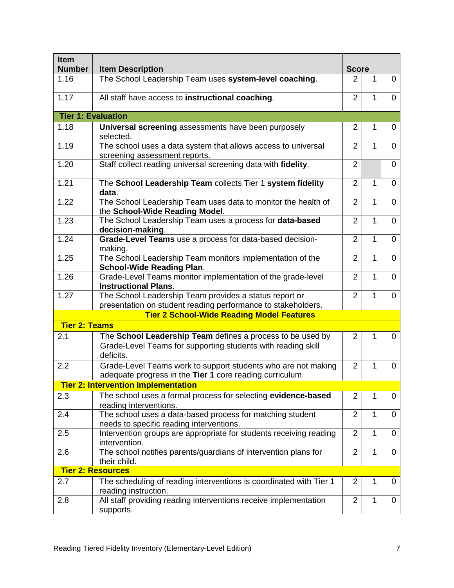| Item                 |                                                                                                                           |                |              |                |  |  |
|----------------------|---------------------------------------------------------------------------------------------------------------------------|----------------|--------------|----------------|--|--|
| <b>Number</b>        | <b>Item Description</b>                                                                                                   | <b>Score</b>   |              |                |  |  |
| 1.16                 | The School Leadership Team uses system-level coaching.                                                                    | $\overline{2}$ | 1            | 0              |  |  |
| 1.17                 | All staff have access to instructional coaching.                                                                          | $\overline{2}$ | $\mathbf{1}$ | $\Omega$       |  |  |
|                      | <b>Tier 1: Evaluation</b>                                                                                                 |                |              |                |  |  |
| 1.18                 | Universal screening assessments have been purposely<br>selected.                                                          | 2              | 1            | 0              |  |  |
| 1.19                 | The school uses a data system that allows access to universal<br>screening assessment reports.                            | $\overline{2}$ | $\mathbf{1}$ | $\Omega$       |  |  |
| 1.20                 | Staff collect reading universal screening data with fidelity.                                                             | $\overline{2}$ |              | $\Omega$       |  |  |
| 1.21                 | The School Leadership Team collects Tier 1 system fidelity<br>data.                                                       | $\overline{2}$ | 1            | $\Omega$       |  |  |
| 1.22                 | The School Leadership Team uses data to monitor the health of<br>the School-Wide Reading Model.                           | $\overline{2}$ | 1            | 0              |  |  |
| 1.23                 | The School Leadership Team uses a process for data-based<br>decision-making.                                              | $\overline{2}$ | $\mathbf{1}$ | $\overline{0}$ |  |  |
| 1.24                 | Grade-Level Teams use a process for data-based decision-<br>making.                                                       | $\overline{2}$ | 1            | $\Omega$       |  |  |
| 1.25                 | The School Leadership Team monitors implementation of the<br><b>School-Wide Reading Plan.</b>                             | $\overline{2}$ | $\mathbf{1}$ | $\Omega$       |  |  |
| 1.26                 | Grade-Level Teams monitor implementation of the grade-level<br><b>Instructional Plans.</b>                                | $\overline{2}$ | 1            | 0              |  |  |
| 1.27                 | The School Leadership Team provides a status report or                                                                    | $\overline{2}$ | 1            | 0              |  |  |
|                      | presentation on student reading performance to stakeholders.<br><b>Tier 2 School-Wide Reading Model Features</b>          |                |              |                |  |  |
| <b>Tier 2: Teams</b> |                                                                                                                           |                |              |                |  |  |
| 2.1                  | The School Leadership Team defines a process to be used by                                                                | 2              | 1            | 0              |  |  |
|                      | Grade-Level Teams for supporting students with reading skill<br>deficits.                                                 |                |              |                |  |  |
| 2.2                  | Grade-Level Teams work to support students who are not making<br>adequate progress in the Tier 1 core reading curriculum. | $\overline{2}$ | 1            | 0              |  |  |
|                      | <b>Tier 2: Intervention Implementation</b>                                                                                |                |              |                |  |  |
| 2.3                  | The school uses a formal process for selecting evidence-based<br>reading interventions.                                   | $\overline{2}$ | 1            | 0              |  |  |
| 2.4                  | The school uses a data-based process for matching student<br>needs to specific reading interventions.                     | $\overline{2}$ | $\mathbf{1}$ | 0              |  |  |
| 2.5                  | Intervention groups are appropriate for students receiving reading<br>intervention.                                       | $\overline{2}$ | 1            | 0              |  |  |
| 2.6                  | The school notifies parents/guardians of intervention plans for<br>their child.                                           | $\overline{2}$ | 1            | 0              |  |  |
|                      | <b>Tier 2: Resources</b>                                                                                                  |                |              |                |  |  |
| 2.7                  | The scheduling of reading interventions is coordinated with Tier 1<br>reading instruction.                                | 2              | 1            | 0              |  |  |
| 2.8                  | All staff providing reading interventions receive implementation<br>supports.                                             | $\overline{2}$ | 1            | 0              |  |  |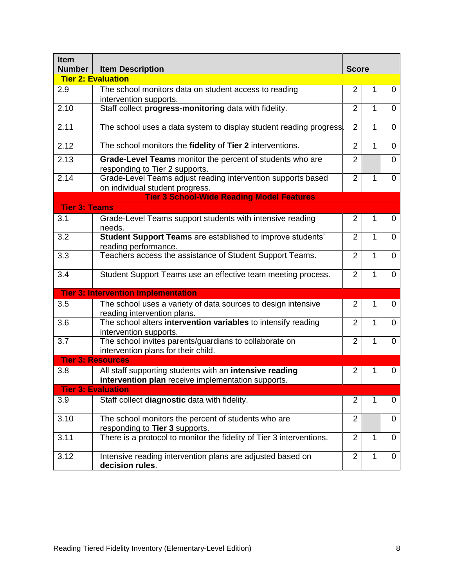| <b>Item</b><br><b>Number</b> | <b>Item Description</b>                                                                                       |                |              |                |
|------------------------------|---------------------------------------------------------------------------------------------------------------|----------------|--------------|----------------|
|                              | <b>Tier 2: Evaluation</b>                                                                                     |                |              |                |
| 2.9                          | The school monitors data on student access to reading<br>intervention supports.                               | $\overline{2}$ | 1            | 0              |
| 2.10                         | Staff collect progress-monitoring data with fidelity.                                                         | $\overline{2}$ | $\mathbf{1}$ | 0              |
| 2.11                         | The school uses a data system to display student reading progress.                                            | $\overline{2}$ | 1            | $\Omega$       |
| 2.12                         | The school monitors the fidelity of Tier 2 interventions.                                                     | $\overline{2}$ | $\mathbf{1}$ | $\Omega$       |
| 2.13                         | Grade-Level Teams monitor the percent of students who are<br>responding to Tier 2 supports.                   | $\overline{2}$ |              | $\Omega$       |
| 2.14                         | Grade-Level Teams adjust reading intervention supports based<br>on individual student progress.               | $\overline{2}$ | 1            | $\overline{0}$ |
|                              | <b>Tier 3 School-Wide Reading Model Features</b>                                                              |                |              |                |
| <b>Tier 3: Teams</b>         |                                                                                                               |                |              |                |
| 3.1                          | Grade-Level Teams support students with intensive reading<br>needs.                                           | 2              | 1            | 0              |
| 3.2                          | Student Support Teams are established to improve students'<br>reading performance.                            | 2              | 1            | 0              |
| 3.3                          | Teachers access the assistance of Student Support Teams.                                                      | $\overline{2}$ | 1            | 0              |
| 3.4                          | Student Support Teams use an effective team meeting process.                                                  | $\overline{2}$ | 1            | $\overline{0}$ |
|                              | <b>Tier 3: Intervention Implementation</b>                                                                    |                |              |                |
| 3.5                          | The school uses a variety of data sources to design intensive<br>reading intervention plans.                  | $\overline{2}$ | 1            | 0              |
| 3.6                          | The school alters intervention variables to intensify reading<br>intervention supports.                       | 2              | 1            | 0              |
| 3.7                          | The school invites parents/guardians to collaborate on<br>intervention plans for their child.                 | $\overline{2}$ | 1            | 0              |
|                              | <b>Tier 3: Resources</b>                                                                                      |                |              |                |
| 3.8                          | All staff supporting students with an intensive reading<br>intervention plan receive implementation supports. | 2              | 1            | 0              |
|                              | <b>Tier 3: Evaluation</b>                                                                                     |                |              |                |
| 3.9                          | Staff collect diagnostic data with fidelity.                                                                  | 2              | 1            | 0              |
| 3.10                         | The school monitors the percent of students who are<br>responding to Tier 3 supports.                         | $\overline{2}$ |              | 0              |
| 3.11                         | There is a protocol to monitor the fidelity of Tier 3 interventions.                                          | $\overline{2}$ | $\mathbf{1}$ | 0              |
| 3.12                         | Intensive reading intervention plans are adjusted based on<br>decision rules.                                 | 2              | $\mathbf{1}$ | 0              |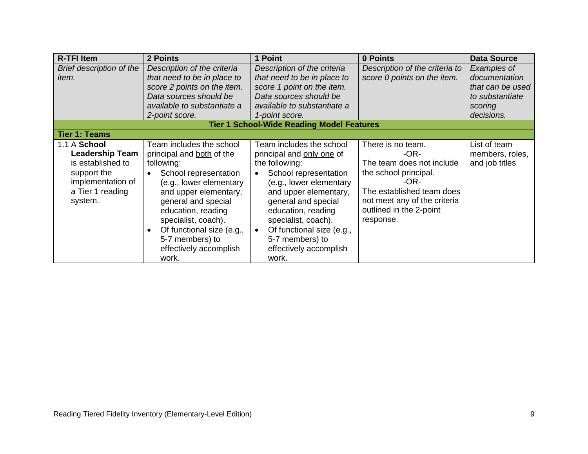| <b>R-TFI Item</b>                                                                                                              | 2 Points                                                                                                                                                                                                                                                                                                | 1 Point                                                                                                                                                                                                                                                                                                     | 0 Points                                                                                                                                                                                         | <b>Data Source</b>                                                                           |
|--------------------------------------------------------------------------------------------------------------------------------|---------------------------------------------------------------------------------------------------------------------------------------------------------------------------------------------------------------------------------------------------------------------------------------------------------|-------------------------------------------------------------------------------------------------------------------------------------------------------------------------------------------------------------------------------------------------------------------------------------------------------------|--------------------------------------------------------------------------------------------------------------------------------------------------------------------------------------------------|----------------------------------------------------------------------------------------------|
| Brief description of the<br>item.                                                                                              | Description of the criteria<br>that need to be in place to<br>score 2 points on the item.<br>Data sources should be<br>available to substantiate a<br>2-point score.                                                                                                                                    | Description of the criteria<br>that need to be in place to<br>score 1 point on the item.<br>Data sources should be<br>available to substantiate a<br>1-point score.                                                                                                                                         | Description of the criteria to<br>score 0 points on the item.                                                                                                                                    | Examples of<br>documentation<br>that can be used<br>to substantiate<br>scoring<br>decisions. |
|                                                                                                                                |                                                                                                                                                                                                                                                                                                         | <b>Tier 1 School-Wide Reading Model Features</b>                                                                                                                                                                                                                                                            |                                                                                                                                                                                                  |                                                                                              |
| <b>Tier 1: Teams</b>                                                                                                           |                                                                                                                                                                                                                                                                                                         |                                                                                                                                                                                                                                                                                                             |                                                                                                                                                                                                  |                                                                                              |
| 1.1 A School<br><b>Leadership Team</b><br>is established to<br>support the<br>implementation of<br>a Tier 1 reading<br>system. | Team includes the school<br>principal and both of the<br>following:<br>School representation<br>(e.g., lower elementary<br>and upper elementary,<br>general and special<br>education, reading<br>specialist, coach).<br>Of functional size (e.g.,<br>5-7 members) to<br>effectively accomplish<br>work. | Team includes the school<br>principal and only one of<br>the following:<br>School representation<br>(e.g., lower elementary<br>and upper elementary,<br>general and special<br>education, reading<br>specialist, coach).<br>Of functional size (e.g.,<br>5-7 members) to<br>effectively accomplish<br>work. | There is no team.<br>$-OR-$<br>The team does not include<br>the school principal.<br>$-OR-$<br>The established team does<br>not meet any of the criteria<br>outlined in the 2-point<br>response. | List of team<br>members, roles,<br>and job titles                                            |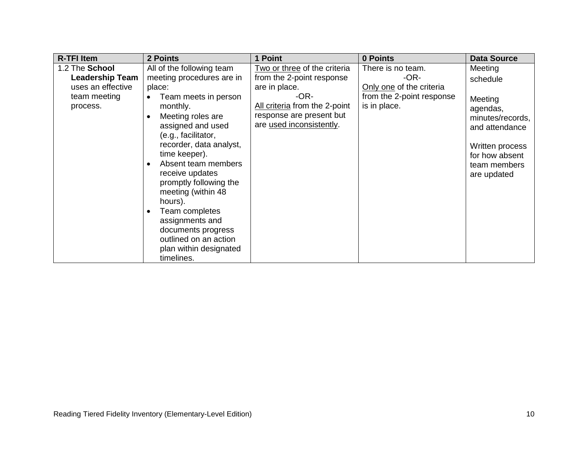| <b>R-TFI Item</b>      | 2 Points                             | 1 Point                       | 0 Points                  | <b>Data Source</b> |
|------------------------|--------------------------------------|-------------------------------|---------------------------|--------------------|
| 1.2 The School         | All of the following team            | Two or three of the criteria  | There is no team.         | Meeting            |
| <b>Leadership Team</b> | meeting procedures are in            | from the 2-point response     | $-OR-$                    | schedule           |
| uses an effective      | place:                               | are in place.                 | Only one of the criteria  |                    |
| team meeting           | Team meets in person                 | -OR-                          | from the 2-point response | Meeting            |
| process.               | monthly.                             | All criteria from the 2-point | is in place.              | agendas,           |
|                        | Meeting roles are                    | response are present but      |                           | minutes/records,   |
|                        | assigned and used                    | are used inconsistently.      |                           | and attendance     |
|                        | (e.g., facilitator,                  |                               |                           |                    |
|                        | recorder, data analyst,              |                               |                           | Written process    |
|                        | time keeper).<br>Absent team members |                               |                           | for how absent     |
|                        | receive updates                      |                               |                           | team members       |
|                        | promptly following the               |                               |                           | are updated        |
|                        | meeting (within 48                   |                               |                           |                    |
|                        | hours).                              |                               |                           |                    |
|                        | Team completes                       |                               |                           |                    |
|                        | assignments and                      |                               |                           |                    |
|                        | documents progress                   |                               |                           |                    |
|                        | outlined on an action                |                               |                           |                    |
|                        | plan within designated               |                               |                           |                    |
|                        | timelines.                           |                               |                           |                    |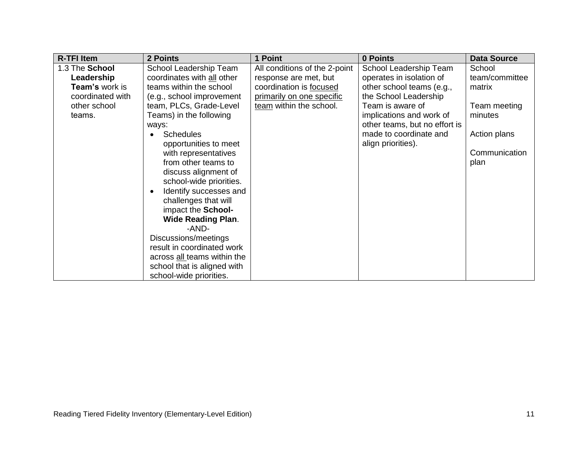| <b>R-TFI Item</b> | 2 Points                            | 1 Point                       | 0 Points                      | <b>Data Source</b> |
|-------------------|-------------------------------------|-------------------------------|-------------------------------|--------------------|
| 1.3 The School    | School Leadership Team              | All conditions of the 2-point | School Leadership Team        | School             |
| Leadership        | coordinates with all other          | response are met, but         | operates in isolation of      | team/committee     |
| Team's work is    | teams within the school             | coordination is focused       | other school teams (e.g.,     | matrix             |
| coordinated with  | (e.g., school improvement           | primarily on one specific     | the School Leadership         |                    |
| other school      | team, PLCs, Grade-Level             | team within the school.       | Team is aware of              | Team meeting       |
| teams.            | Teams) in the following             |                               | implications and work of      | minutes            |
|                   | ways:                               |                               | other teams, but no effort is |                    |
|                   | <b>Schedules</b>                    |                               | made to coordinate and        | Action plans       |
|                   | opportunities to meet               |                               | align priorities).            |                    |
|                   | with representatives                |                               |                               | Communication      |
|                   | from other teams to                 |                               |                               | plan               |
|                   | discuss alignment of                |                               |                               |                    |
|                   | school-wide priorities.             |                               |                               |                    |
|                   | Identify successes and<br>$\bullet$ |                               |                               |                    |
|                   | challenges that will                |                               |                               |                    |
|                   | impact the School-                  |                               |                               |                    |
|                   | <b>Wide Reading Plan.</b>           |                               |                               |                    |
|                   | -AND-                               |                               |                               |                    |
|                   | Discussions/meetings                |                               |                               |                    |
|                   | result in coordinated work          |                               |                               |                    |
|                   | across all teams within the         |                               |                               |                    |
|                   | school that is aligned with         |                               |                               |                    |
|                   | school-wide priorities.             |                               |                               |                    |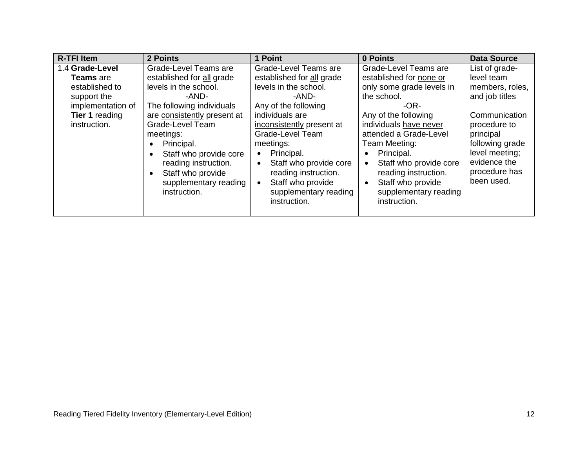| <b>R-TFI Item</b>     | 2 Points                       | 1 Point                      | 0 Points                            | <b>Data Source</b> |
|-----------------------|--------------------------------|------------------------------|-------------------------------------|--------------------|
| 1.4 Grade-Level       | Grade-Level Teams are          | <b>Grade-Level Teams are</b> | Grade-Level Teams are               | List of grade-     |
| <b>Teams</b> are      | established for all grade      | established for all grade    | established for none or             | level team         |
| established to        | levels in the school.          | levels in the school.        | only some grade levels in           | members, roles,    |
| support the           | -AND-                          | -AND-                        | the school.                         | and job titles     |
| implementation of     | The following individuals      | Any of the following         | -OR-                                |                    |
| <b>Tier 1 reading</b> | are consistently present at    | individuals are              | Any of the following                | Communication      |
| instruction.          | Grade-Level Team               | inconsistently present at    | individuals have never              | procedure to       |
|                       | meetings:                      | Grade-Level Team             | attended a Grade-Level              | principal          |
|                       | Principal.<br>$\bullet$        | meetings:                    | Team Meeting:                       | following grade    |
|                       | Staff who provide core<br>٠    | Principal.                   | Principal.                          | level meeting;     |
|                       | reading instruction.           | Staff who provide core       | Staff who provide core<br>$\bullet$ | evidence the       |
|                       | Staff who provide<br>$\bullet$ | reading instruction.         | reading instruction.                | procedure has      |
|                       | supplementary reading          | Staff who provide            | Staff who provide<br>$\bullet$      | been used.         |
|                       | instruction.                   | supplementary reading        | supplementary reading               |                    |
|                       |                                | instruction.                 | instruction.                        |                    |
|                       |                                |                              |                                     |                    |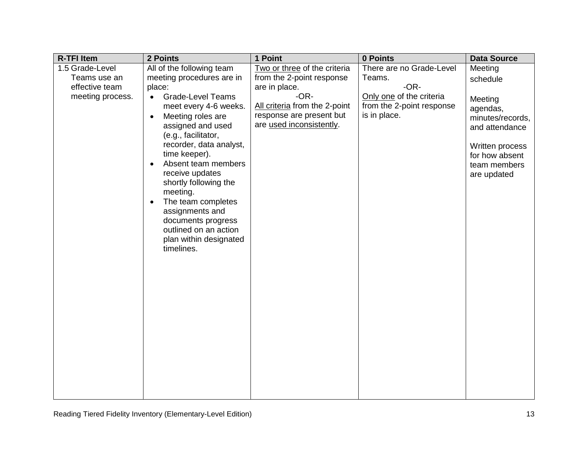| <b>R-TFI Item</b> | 2 Points                                                                                                                                                                                                                                                                                                                                                                                                                          | 1 Point                                                                                         | 0 Points                                                              | <b>Data Source</b>                                                                                                            |
|-------------------|-----------------------------------------------------------------------------------------------------------------------------------------------------------------------------------------------------------------------------------------------------------------------------------------------------------------------------------------------------------------------------------------------------------------------------------|-------------------------------------------------------------------------------------------------|-----------------------------------------------------------------------|-------------------------------------------------------------------------------------------------------------------------------|
| 1.5 Grade-Level   | All of the following team                                                                                                                                                                                                                                                                                                                                                                                                         | Two or three of the criteria                                                                    | There are no Grade-Level                                              | Meeting                                                                                                                       |
| Teams use an      | meeting procedures are in                                                                                                                                                                                                                                                                                                                                                                                                         | from the 2-point response                                                                       | Teams.                                                                | schedule                                                                                                                      |
| effective team    | place:                                                                                                                                                                                                                                                                                                                                                                                                                            | are in place.                                                                                   | $-OR-$                                                                |                                                                                                                               |
| meeting process.  | <b>Grade-Level Teams</b><br>$\bullet$<br>meet every 4-6 weeks.<br>Meeting roles are<br>$\bullet$<br>assigned and used<br>(e.g., facilitator,<br>recorder, data analyst,<br>time keeper).<br>Absent team members<br>$\bullet$<br>receive updates<br>shortly following the<br>meeting.<br>The team completes<br>$\bullet$<br>assignments and<br>documents progress<br>outlined on an action<br>plan within designated<br>timelines. | $-OR-$<br>All criteria from the 2-point<br>response are present but<br>are used inconsistently. | Only one of the criteria<br>from the 2-point response<br>is in place. | Meeting<br>agendas,<br>minutes/records,<br>and attendance<br>Written process<br>for how absent<br>team members<br>are updated |
|                   |                                                                                                                                                                                                                                                                                                                                                                                                                                   |                                                                                                 |                                                                       |                                                                                                                               |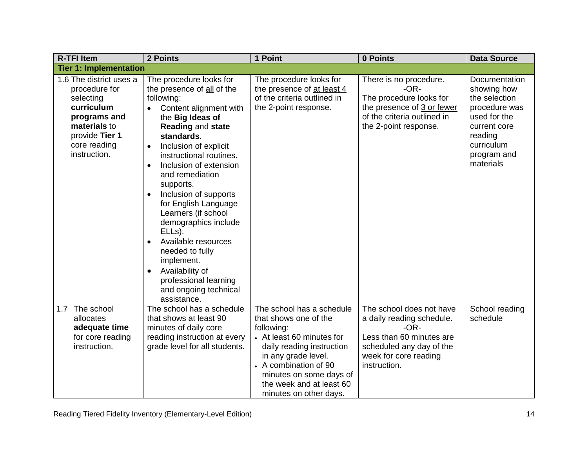| <b>R-TFI Item</b>                                                                                                                                     | 2 Points                                                                                                                                                                                                                                                                                                                                                                                                                                                                                                                                                        | 1 Point                                                                                                                                                                                                                                                     | 0 Points                                                                                                                                                         | <b>Data Source</b>                                                                                                                                  |
|-------------------------------------------------------------------------------------------------------------------------------------------------------|-----------------------------------------------------------------------------------------------------------------------------------------------------------------------------------------------------------------------------------------------------------------------------------------------------------------------------------------------------------------------------------------------------------------------------------------------------------------------------------------------------------------------------------------------------------------|-------------------------------------------------------------------------------------------------------------------------------------------------------------------------------------------------------------------------------------------------------------|------------------------------------------------------------------------------------------------------------------------------------------------------------------|-----------------------------------------------------------------------------------------------------------------------------------------------------|
| <b>Tier 1: Implementation</b>                                                                                                                         |                                                                                                                                                                                                                                                                                                                                                                                                                                                                                                                                                                 |                                                                                                                                                                                                                                                             |                                                                                                                                                                  |                                                                                                                                                     |
| 1.6 The district uses a<br>procedure for<br>selecting<br>curriculum<br>programs and<br>materials to<br>provide Tier 1<br>core reading<br>instruction. | The procedure looks for<br>the presence of all of the<br>following:<br>Content alignment with<br>the Big Ideas of<br>Reading and state<br>standards.<br>Inclusion of explicit<br>$\bullet$<br>instructional routines.<br>Inclusion of extension<br>$\bullet$<br>and remediation<br>supports.<br>Inclusion of supports<br>for English Language<br>Learners (if school<br>demographics include<br>ELL <sub>s</sub> ).<br>Available resources<br>needed to fully<br>implement.<br>Availability of<br>professional learning<br>and ongoing technical<br>assistance. | The procedure looks for<br>the presence of at least 4<br>of the criteria outlined in<br>the 2-point response.                                                                                                                                               | There is no procedure.<br>$-OR-$<br>The procedure looks for<br>the presence of 3 or fewer<br>of the criteria outlined in<br>the 2-point response.                | Documentation<br>showing how<br>the selection<br>procedure was<br>used for the<br>current core<br>reading<br>curriculum<br>program and<br>materials |
| 1.7 The school<br>allocates<br>adequate time<br>for core reading<br>instruction.                                                                      | The school has a schedule<br>that shows at least 90<br>minutes of daily core<br>reading instruction at every<br>grade level for all students.                                                                                                                                                                                                                                                                                                                                                                                                                   | The school has a schedule<br>that shows one of the<br>following:<br>• At least 60 minutes for<br>daily reading instruction<br>in any grade level.<br>• A combination of 90<br>minutes on some days of<br>the week and at least 60<br>minutes on other days. | The school does not have<br>a daily reading schedule.<br>$-OR-$<br>Less than 60 minutes are<br>scheduled any day of the<br>week for core reading<br>instruction. | School reading<br>schedule                                                                                                                          |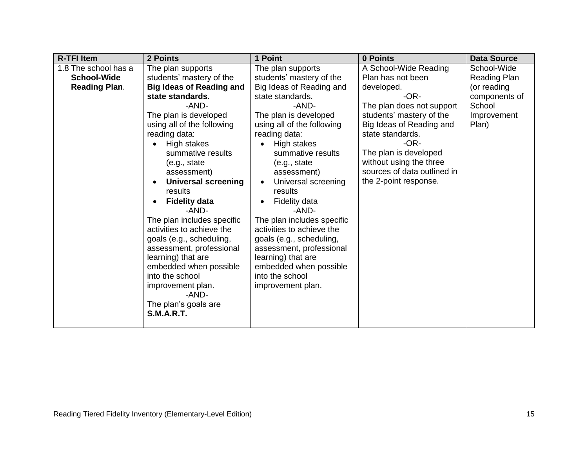| <b>R-TFI Item</b>                                                  | 2 Points                                                                                                                                                                                                                                                                                                                                                                                                                                                                                                                                                                                             | 1 Point                                                                                                                                                                                                                                                                                                                                                                                                                                                                                                                                            | 0 Points                                                                                                                                                                                                                                                                                          | <b>Data Source</b>                                                                                   |
|--------------------------------------------------------------------|------------------------------------------------------------------------------------------------------------------------------------------------------------------------------------------------------------------------------------------------------------------------------------------------------------------------------------------------------------------------------------------------------------------------------------------------------------------------------------------------------------------------------------------------------------------------------------------------------|----------------------------------------------------------------------------------------------------------------------------------------------------------------------------------------------------------------------------------------------------------------------------------------------------------------------------------------------------------------------------------------------------------------------------------------------------------------------------------------------------------------------------------------------------|---------------------------------------------------------------------------------------------------------------------------------------------------------------------------------------------------------------------------------------------------------------------------------------------------|------------------------------------------------------------------------------------------------------|
| 1.8 The school has a<br><b>School-Wide</b><br><b>Reading Plan.</b> | The plan supports<br>students' mastery of the<br><b>Big Ideas of Reading and</b><br>state standards.<br>-AND-<br>The plan is developed<br>using all of the following<br>reading data:<br>High stakes<br>summative results<br>(e.g., state)<br>assessment)<br><b>Universal screening</b><br>results<br><b>Fidelity data</b><br>-AND-<br>The plan includes specific<br>activities to achieve the<br>goals (e.g., scheduling,<br>assessment, professional<br>learning) that are<br>embedded when possible<br>into the school<br>improvement plan.<br>-AND-<br>The plan's goals are<br><b>S.M.A.R.T.</b> | The plan supports<br>students' mastery of the<br>Big Ideas of Reading and<br>state standards.<br>-AND-<br>The plan is developed<br>using all of the following<br>reading data:<br>High stakes<br>summative results<br>(e.g., state<br>assessment)<br>Universal screening<br>$\bullet$<br>results<br>Fidelity data<br>$\bullet$<br>-AND-<br>The plan includes specific<br>activities to achieve the<br>goals (e.g., scheduling,<br>assessment, professional<br>learning) that are<br>embedded when possible<br>into the school<br>improvement plan. | A School-Wide Reading<br>Plan has not been<br>developed.<br>$-OR-$<br>The plan does not support<br>students' mastery of the<br>Big Ideas of Reading and<br>state standards.<br>$-OR-$<br>The plan is developed<br>without using the three<br>sources of data outlined in<br>the 2-point response. | School-Wide<br><b>Reading Plan</b><br>(or reading<br>components of<br>School<br>Improvement<br>Plan) |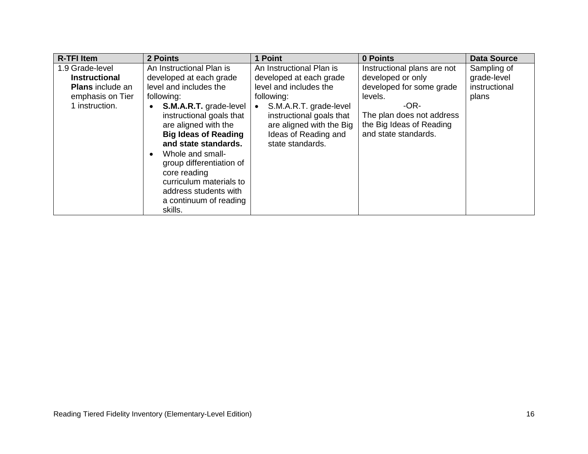| <b>R-TFI Item</b>       | 2 Points                                                                                                                                                                                                                                                                                                | 1 Point                                                                                                                    | 0 Points                                                                                | <b>Data Source</b> |
|-------------------------|---------------------------------------------------------------------------------------------------------------------------------------------------------------------------------------------------------------------------------------------------------------------------------------------------------|----------------------------------------------------------------------------------------------------------------------------|-----------------------------------------------------------------------------------------|--------------------|
| 1.9 Grade-level         | An Instructional Plan is                                                                                                                                                                                                                                                                                | An Instructional Plan is                                                                                                   | Instructional plans are not                                                             | Sampling of        |
| <b>Instructional</b>    | developed at each grade                                                                                                                                                                                                                                                                                 | developed at each grade                                                                                                    | developed or only                                                                       | grade-level        |
| <b>Plans</b> include an | level and includes the                                                                                                                                                                                                                                                                                  | level and includes the                                                                                                     | developed for some grade                                                                | instructional      |
| emphasis on Tier        | following:                                                                                                                                                                                                                                                                                              | following:                                                                                                                 | levels.                                                                                 | plans              |
| 1 instruction.          | S.M.A.R.T. grade-level<br>instructional goals that<br>are aligned with the<br><b>Big Ideas of Reading</b><br>and state standards.<br>Whole and small-<br>$\bullet$<br>group differentiation of<br>core reading<br>curriculum materials to<br>address students with<br>a continuum of reading<br>skills. | S.M.A.R.T. grade-level<br>instructional goals that<br>are aligned with the Big<br>Ideas of Reading and<br>state standards. | $-OR-$<br>The plan does not address<br>the Big Ideas of Reading<br>and state standards. |                    |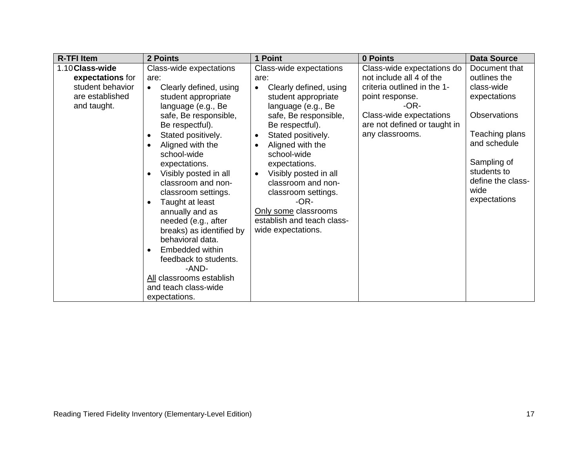| <b>R-TFI Item</b>                                                                         | 2 Points                                                                                                                                                                                                                                                                                                                                                                                                                                                                                                                                                                         | 1 Point                                                                                                                                                                                                                                                                                                                                                                                                                                      | 0 Points                                                                                                                                                                                         | <b>Data Source</b>                                                                                                                                                                              |
|-------------------------------------------------------------------------------------------|----------------------------------------------------------------------------------------------------------------------------------------------------------------------------------------------------------------------------------------------------------------------------------------------------------------------------------------------------------------------------------------------------------------------------------------------------------------------------------------------------------------------------------------------------------------------------------|----------------------------------------------------------------------------------------------------------------------------------------------------------------------------------------------------------------------------------------------------------------------------------------------------------------------------------------------------------------------------------------------------------------------------------------------|--------------------------------------------------------------------------------------------------------------------------------------------------------------------------------------------------|-------------------------------------------------------------------------------------------------------------------------------------------------------------------------------------------------|
| 1.10 Class-wide<br>expectations for<br>student behavior<br>are established<br>and taught. | Class-wide expectations<br>are:<br>Clearly defined, using<br>$\bullet$<br>student appropriate<br>language (e.g., Be<br>safe, Be responsible,<br>Be respectful).<br>Stated positively.<br>$\bullet$<br>Aligned with the<br>school-wide<br>expectations.<br>Visibly posted in all<br>classroom and non-<br>classroom settings.<br>Taught at least<br>$\bullet$<br>annually and as<br>needed (e.g., after<br>breaks) as identified by<br>behavioral data.<br>Embedded within<br>feedback to students.<br>-AND-<br>All classrooms establish<br>and teach class-wide<br>expectations. | Class-wide expectations<br>are:<br>Clearly defined, using<br>$\bullet$<br>student appropriate<br>language (e.g., Be<br>safe, Be responsible,<br>Be respectful).<br>Stated positively.<br>$\bullet$<br>Aligned with the<br>$\bullet$<br>school-wide<br>expectations.<br>Visibly posted in all<br>$\bullet$<br>classroom and non-<br>classroom settings.<br>$-OR-$<br>Only some classrooms<br>establish and teach class-<br>wide expectations. | Class-wide expectations do<br>not include all 4 of the<br>criteria outlined in the 1-<br>point response.<br>$-OR-$<br>Class-wide expectations<br>are not defined or taught in<br>any classrooms. | Document that<br>outlines the<br>class-wide<br>expectations<br><b>Observations</b><br>Teaching plans<br>and schedule<br>Sampling of<br>students to<br>define the class-<br>wide<br>expectations |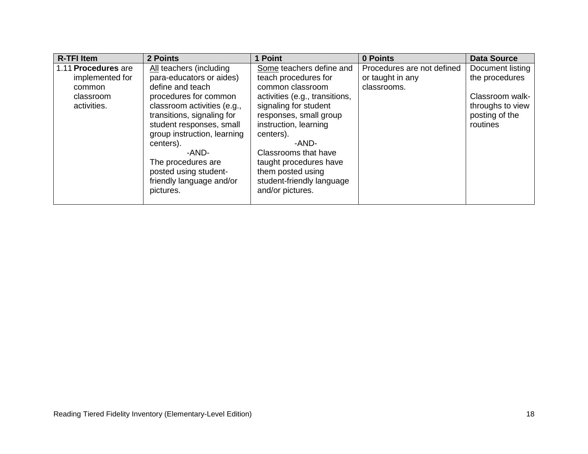| <b>R-TFI Item</b>                                                            | 2 Points                                                                                                                                                                                                                                                                                                                               | 1 Point                                                                                                                                                                                                                                                                                                                          | 0 Points                                                      | <b>Data Source</b>                                                                                      |
|------------------------------------------------------------------------------|----------------------------------------------------------------------------------------------------------------------------------------------------------------------------------------------------------------------------------------------------------------------------------------------------------------------------------------|----------------------------------------------------------------------------------------------------------------------------------------------------------------------------------------------------------------------------------------------------------------------------------------------------------------------------------|---------------------------------------------------------------|---------------------------------------------------------------------------------------------------------|
| 1.11 Procedures are<br>implemented for<br>common<br>classroom<br>activities. | All teachers (including<br>para-educators or aides)<br>define and teach<br>procedures for common<br>classroom activities (e.g.,<br>transitions, signaling for<br>student responses, small<br>group instruction, learning<br>centers).<br>-AND-<br>The procedures are<br>posted using student-<br>friendly language and/or<br>pictures. | Some teachers define and<br>teach procedures for<br>common classroom<br>activities (e.g., transitions,<br>signaling for student<br>responses, small group<br>instruction, learning<br>centers).<br>-AND-<br>Classrooms that have<br>taught procedures have<br>them posted using<br>student-friendly language<br>and/or pictures. | Procedures are not defined<br>or taught in any<br>classrooms. | Document listing<br>the procedures<br>Classroom walk-<br>throughs to view<br>posting of the<br>routines |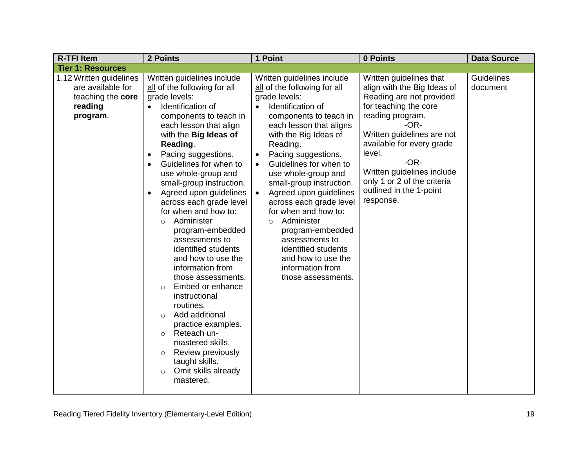| <b>R-TFI Item</b>                                                                        | 2 Points                                                                                                                                                                                                                                                                                                                                                                                                                                                                                                                                                                                                                                                                                                                                                                                                                               | 1 Point                                                                                                                                                                                                                                                                                                                                                                                                                                                                                                                                                                               | 0 Points                                                                                                                                                                                                                                                                                                                    | <b>Data Source</b>     |
|------------------------------------------------------------------------------------------|----------------------------------------------------------------------------------------------------------------------------------------------------------------------------------------------------------------------------------------------------------------------------------------------------------------------------------------------------------------------------------------------------------------------------------------------------------------------------------------------------------------------------------------------------------------------------------------------------------------------------------------------------------------------------------------------------------------------------------------------------------------------------------------------------------------------------------------|---------------------------------------------------------------------------------------------------------------------------------------------------------------------------------------------------------------------------------------------------------------------------------------------------------------------------------------------------------------------------------------------------------------------------------------------------------------------------------------------------------------------------------------------------------------------------------------|-----------------------------------------------------------------------------------------------------------------------------------------------------------------------------------------------------------------------------------------------------------------------------------------------------------------------------|------------------------|
| <b>Tier 1: Resources</b>                                                                 |                                                                                                                                                                                                                                                                                                                                                                                                                                                                                                                                                                                                                                                                                                                                                                                                                                        |                                                                                                                                                                                                                                                                                                                                                                                                                                                                                                                                                                                       |                                                                                                                                                                                                                                                                                                                             |                        |
| 1.12 Written guidelines<br>are available for<br>teaching the core<br>reading<br>program. | Written guidelines include<br>all of the following for all<br>grade levels:<br>Identification of<br>$\bullet$<br>components to teach in<br>each lesson that align<br>with the Big Ideas of<br>Reading.<br>Pacing suggestions.<br>Guidelines for when to<br>$\bullet$<br>use whole-group and<br>small-group instruction.<br>Agreed upon guidelines<br>$\bullet$<br>across each grade level<br>for when and how to:<br>Administer<br>$\circ$<br>program-embedded<br>assessments to<br>identified students<br>and how to use the<br>information from<br>those assessments.<br>Embed or enhance<br>$\circ$<br>instructional<br>routines.<br>Add additional<br>$\circ$<br>practice examples.<br>Reteach un-<br>$\circ$<br>mastered skills.<br>Review previously<br>$\circ$<br>taught skills.<br>Omit skills already<br>$\circ$<br>mastered. | Written guidelines include<br>all of the following for all<br>grade levels:<br>Identification of<br>$\bullet$<br>components to teach in<br>each lesson that aligns<br>with the Big Ideas of<br>Reading.<br>Pacing suggestions.<br>$\bullet$<br>Guidelines for when to<br>$\bullet$<br>use whole-group and<br>small-group instruction.<br>Agreed upon guidelines<br>$\bullet$<br>across each grade level<br>for when and how to:<br>Administer<br>$\circ$<br>program-embedded<br>assessments to<br>identified students<br>and how to use the<br>information from<br>those assessments. | Written guidelines that<br>align with the Big Ideas of<br>Reading are not provided<br>for teaching the core<br>reading program.<br>-OR-<br>Written guidelines are not<br>available for every grade<br>level.<br>$-OR-$<br>Written guidelines include<br>only 1 or 2 of the criteria<br>outlined in the 1-point<br>response. | Guidelines<br>document |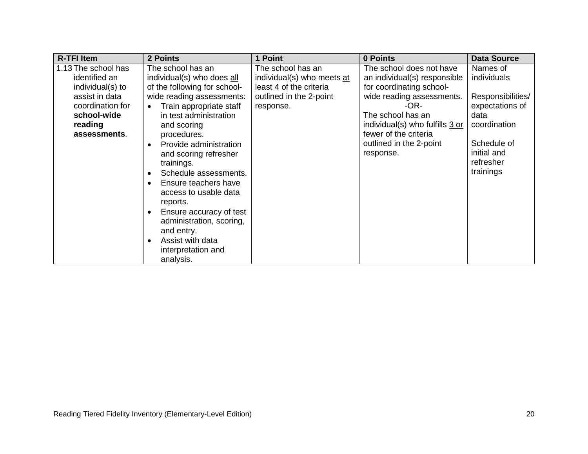| <b>R-TFI Item</b>                                                                                                                        | 2 Points                                                                                                                                                                                                                                                                                                                                                                                                                                                                                        | 1 Point                                                                                                            | 0 Points                                                                                                                                                                                                                                           | <b>Data Source</b>                                                                                                                              |
|------------------------------------------------------------------------------------------------------------------------------------------|-------------------------------------------------------------------------------------------------------------------------------------------------------------------------------------------------------------------------------------------------------------------------------------------------------------------------------------------------------------------------------------------------------------------------------------------------------------------------------------------------|--------------------------------------------------------------------------------------------------------------------|----------------------------------------------------------------------------------------------------------------------------------------------------------------------------------------------------------------------------------------------------|-------------------------------------------------------------------------------------------------------------------------------------------------|
| 1.13 The school has<br>identified an<br>individual(s) to<br>assist in data<br>coordination for<br>school-wide<br>reading<br>assessments. | The school has an<br>individual(s) who does all<br>of the following for school-<br>wide reading assessments:<br>Train appropriate staff<br>in test administration<br>and scoring<br>procedures.<br>Provide administration<br>$\bullet$<br>and scoring refresher<br>trainings.<br>Schedule assessments.<br>Ensure teachers have<br>access to usable data<br>reports.<br>Ensure accuracy of test<br>administration, scoring,<br>and entry.<br>Assist with data<br>interpretation and<br>analysis. | The school has an<br>individual(s) who meets at<br>least 4 of the criteria<br>outlined in the 2-point<br>response. | The school does not have<br>an individual(s) responsible<br>for coordinating school-<br>wide reading assessments.<br>-OR-<br>The school has an<br>individual(s) who fulfills 3 or<br>fewer of the criteria<br>outlined in the 2-point<br>response. | Names of<br>individuals<br>Responsibilities/<br>expectations of<br>data<br>coordination<br>Schedule of<br>initial and<br>refresher<br>trainings |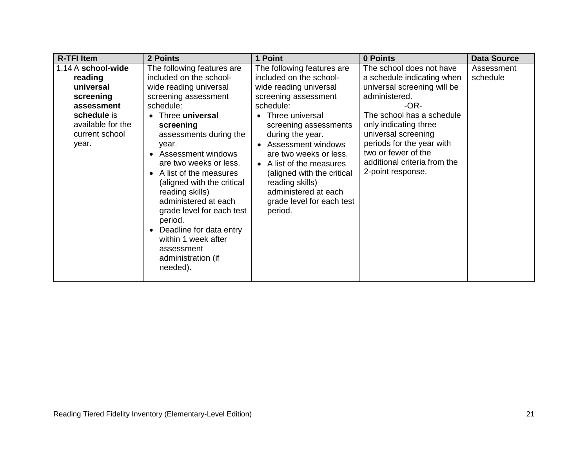| <b>R-TFI Item</b>                                                                                                                    | 2 Points                                                                                                                                                                                                                                                                                                                                                                                                                                                                                    | 1 Point                                                                                                                                                                                                                                                                                                                                                                               | 0 Points                                                                                                                                                                                                                                                                                             | <b>Data Source</b>     |
|--------------------------------------------------------------------------------------------------------------------------------------|---------------------------------------------------------------------------------------------------------------------------------------------------------------------------------------------------------------------------------------------------------------------------------------------------------------------------------------------------------------------------------------------------------------------------------------------------------------------------------------------|---------------------------------------------------------------------------------------------------------------------------------------------------------------------------------------------------------------------------------------------------------------------------------------------------------------------------------------------------------------------------------------|------------------------------------------------------------------------------------------------------------------------------------------------------------------------------------------------------------------------------------------------------------------------------------------------------|------------------------|
| 1.14 A school-wide<br>reading<br>universal<br>screening<br>assessment<br>schedule is<br>available for the<br>current school<br>year. | The following features are<br>included on the school-<br>wide reading universal<br>screening assessment<br>schedule:<br>Three <b>universal</b><br>screening<br>assessments during the<br>year.<br>Assessment windows<br>are two weeks or less.<br>A list of the measures<br>(aligned with the critical<br>reading skills)<br>administered at each<br>grade level for each test<br>period.<br>Deadline for data entry<br>within 1 week after<br>assessment<br>administration (if<br>needed). | The following features are<br>included on the school-<br>wide reading universal<br>screening assessment<br>schedule:<br>• Three universal<br>screening assessments<br>during the year.<br>• Assessment windows<br>are two weeks or less.<br>• A list of the measures<br>(aligned with the critical<br>reading skills)<br>administered at each<br>grade level for each test<br>period. | The school does not have<br>a schedule indicating when<br>universal screening will be<br>administered.<br>-OR-<br>The school has a schedule<br>only indicating three<br>universal screening<br>periods for the year with<br>two or fewer of the<br>additional criteria from the<br>2-point response. | Assessment<br>schedule |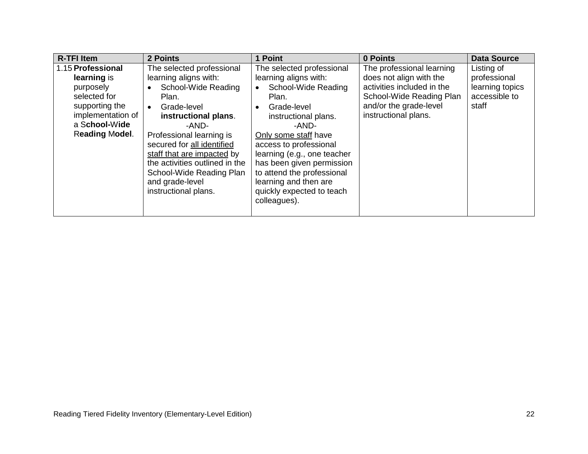| <b>R-TFI Item</b> | 2 Points                       | 1 Point                     | 0 Points                   | <b>Data Source</b> |
|-------------------|--------------------------------|-----------------------------|----------------------------|--------------------|
| 1.15 Professional | The selected professional      | The selected professional   | The professional learning  | Listing of         |
| learning is       | learning aligns with:          | learning aligns with:       | does not align with the    | professional       |
| purposely         | School-Wide Reading            | School-Wide Reading         | activities included in the | learning topics    |
| selected for      | Plan.                          | Plan.                       | School-Wide Reading Plan   | accessible to      |
| supporting the    | Grade-level<br>$\bullet$       | Grade-level                 | and/or the grade-level     | staff              |
| implementation of | instructional plans.           | instructional plans.        | instructional plans.       |                    |
| a School-Wide     | -AND-                          | -AND-                       |                            |                    |
| Reading Model.    | Professional learning is       | Only some staff have        |                            |                    |
|                   | secured for all identified     | access to professional      |                            |                    |
|                   | staff that are impacted by     | learning (e.g., one teacher |                            |                    |
|                   | the activities outlined in the | has been given permission   |                            |                    |
|                   | School-Wide Reading Plan       | to attend the professional  |                            |                    |
|                   | and grade-level                | learning and then are       |                            |                    |
|                   | instructional plans.           | quickly expected to teach   |                            |                    |
|                   |                                | colleagues).                |                            |                    |
|                   |                                |                             |                            |                    |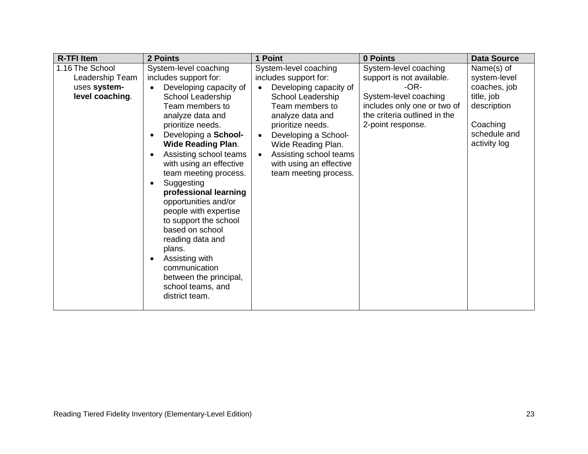| <b>R-TFI Item</b>                                                     | 2 Points                                                                                                                                                                                                                                                                                                                                                                                                                                                                                                                                                                                                               | 1 Point                                                                                                                                                                                                                                                                                                         | 0 Points                                                                                                                                                                  | <b>Data Source</b>                                                                                                  |
|-----------------------------------------------------------------------|------------------------------------------------------------------------------------------------------------------------------------------------------------------------------------------------------------------------------------------------------------------------------------------------------------------------------------------------------------------------------------------------------------------------------------------------------------------------------------------------------------------------------------------------------------------------------------------------------------------------|-----------------------------------------------------------------------------------------------------------------------------------------------------------------------------------------------------------------------------------------------------------------------------------------------------------------|---------------------------------------------------------------------------------------------------------------------------------------------------------------------------|---------------------------------------------------------------------------------------------------------------------|
| 1.16 The School<br>Leadership Team<br>uses system-<br>level coaching. | System-level coaching<br>includes support for:<br>Developing capacity of<br>School Leadership<br>Team members to<br>analyze data and<br>prioritize needs.<br>Developing a School-<br>$\bullet$<br><b>Wide Reading Plan.</b><br>Assisting school teams<br>$\bullet$<br>with using an effective<br>team meeting process.<br>Suggesting<br>$\bullet$<br>professional learning<br>opportunities and/or<br>people with expertise<br>to support the school<br>based on school<br>reading data and<br>plans.<br>Assisting with<br>$\bullet$<br>communication<br>between the principal,<br>school teams, and<br>district team. | System-level coaching<br>includes support for:<br>Developing capacity of<br>School Leadership<br>Team members to<br>analyze data and<br>prioritize needs.<br>Developing a School-<br>$\bullet$<br>Wide Reading Plan.<br>Assisting school teams<br>$\bullet$<br>with using an effective<br>team meeting process. | System-level coaching<br>support is not available.<br>$-OR-$<br>System-level coaching<br>includes only one or two of<br>the criteria outlined in the<br>2-point response. | Name(s) of<br>system-level<br>coaches, job<br>title, job<br>description<br>Coaching<br>schedule and<br>activity log |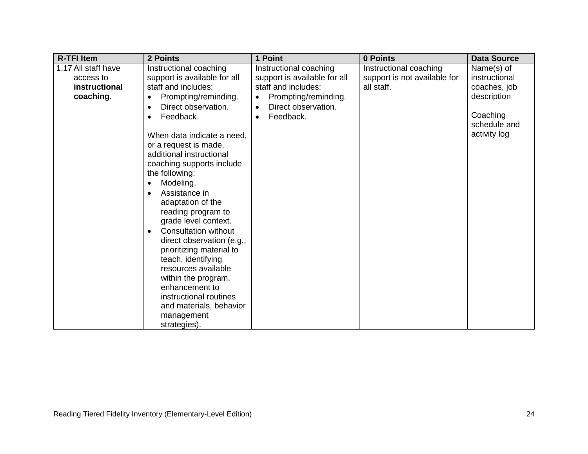| <b>R-TFI Item</b>                                              | 2 Points                                                                                                                                                                                                                                                                                                                                                                                                                                                                                                                                                                                                                                                                | 1 Point                                                                                                                                                             | 0 Points                                                             | <b>Data Source</b>                                                                                     |
|----------------------------------------------------------------|-------------------------------------------------------------------------------------------------------------------------------------------------------------------------------------------------------------------------------------------------------------------------------------------------------------------------------------------------------------------------------------------------------------------------------------------------------------------------------------------------------------------------------------------------------------------------------------------------------------------------------------------------------------------------|---------------------------------------------------------------------------------------------------------------------------------------------------------------------|----------------------------------------------------------------------|--------------------------------------------------------------------------------------------------------|
| 1.17 All staff have<br>access to<br>instructional<br>coaching. | Instructional coaching<br>support is available for all<br>staff and includes:<br>Prompting/reminding.<br>Direct observation.<br>$\bullet$<br>Feedback.<br>$\bullet$<br>When data indicate a need,<br>or a request is made,<br>additional instructional<br>coaching supports include<br>the following:<br>Modeling.<br>Assistance in<br>adaptation of the<br>reading program to<br>grade level context.<br><b>Consultation without</b><br>direct observation (e.g.,<br>prioritizing material to<br>teach, identifying<br>resources available<br>within the program,<br>enhancement to<br>instructional routines<br>and materials, behavior<br>management<br>strategies). | Instructional coaching<br>support is available for all<br>staff and includes:<br>Prompting/reminding.<br>Direct observation.<br>$\bullet$<br>Feedback.<br>$\bullet$ | Instructional coaching<br>support is not available for<br>all staff. | Name(s) of<br>instructional<br>coaches, job<br>description<br>Coaching<br>schedule and<br>activity log |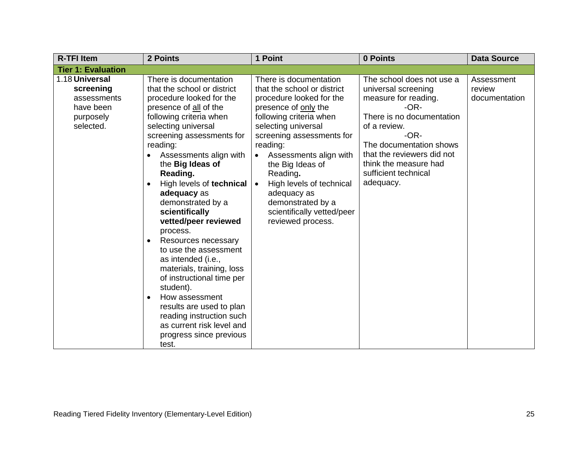| <b>R-TFI Item</b>                                                                 | 2 Points                                                                                                                                                                                                                                                                                                                                                                                                                                                                                                                                                                                                                                                                                                 | 1 Point                                                                                                                                                                                                                                                                                                                                                                           | 0 Points                                                                                                                                                                                                                                                         | <b>Data Source</b>                    |
|-----------------------------------------------------------------------------------|----------------------------------------------------------------------------------------------------------------------------------------------------------------------------------------------------------------------------------------------------------------------------------------------------------------------------------------------------------------------------------------------------------------------------------------------------------------------------------------------------------------------------------------------------------------------------------------------------------------------------------------------------------------------------------------------------------|-----------------------------------------------------------------------------------------------------------------------------------------------------------------------------------------------------------------------------------------------------------------------------------------------------------------------------------------------------------------------------------|------------------------------------------------------------------------------------------------------------------------------------------------------------------------------------------------------------------------------------------------------------------|---------------------------------------|
| <b>Tier 1: Evaluation</b>                                                         |                                                                                                                                                                                                                                                                                                                                                                                                                                                                                                                                                                                                                                                                                                          |                                                                                                                                                                                                                                                                                                                                                                                   |                                                                                                                                                                                                                                                                  |                                       |
| 1.18 Universal<br>screening<br>assessments<br>have been<br>purposely<br>selected. | There is documentation<br>that the school or district<br>procedure looked for the<br>presence of all of the<br>following criteria when<br>selecting universal<br>screening assessments for<br>reading:<br>Assessments align with<br>the Big Ideas of<br>Reading.<br>High levels of technical<br>adequacy as<br>demonstrated by a<br>scientifically<br>vetted/peer reviewed<br>process.<br>Resources necessary<br>$\bullet$<br>to use the assessment<br>as intended (i.e.,<br>materials, training, loss<br>of instructional time per<br>student).<br>How assessment<br>$\bullet$<br>results are used to plan<br>reading instruction such<br>as current risk level and<br>progress since previous<br>test. | There is documentation<br>that the school or district<br>procedure looked for the<br>presence of only the<br>following criteria when<br>selecting universal<br>screening assessments for<br>reading:<br>Assessments align with<br>the Big Ideas of<br>Reading.<br>High levels of technical<br>adequacy as<br>demonstrated by a<br>scientifically vetted/peer<br>reviewed process. | The school does not use a<br>universal screening<br>measure for reading.<br>$-OR-$<br>There is no documentation<br>of a review.<br>$-OR-$<br>The documentation shows<br>that the reviewers did not<br>think the measure had<br>sufficient technical<br>adequacy. | Assessment<br>review<br>documentation |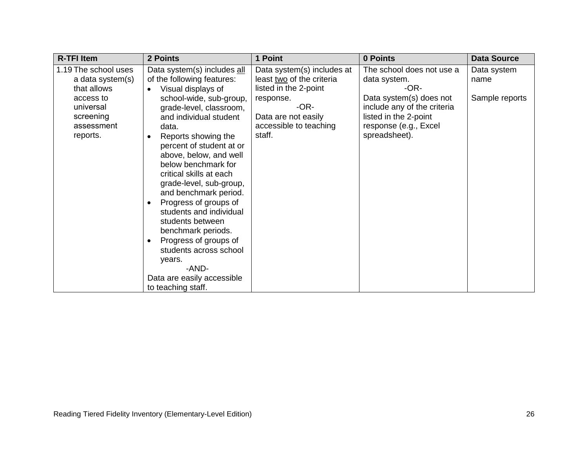| <b>R-TFI Item</b>                                                                                                        | 2 Points                                                                                                                                                                                                                                                                                                                                                    | 1 Point                                                                                                                                                          | 0 Points                                                                                                                                                                       | <b>Data Source</b>                    |
|--------------------------------------------------------------------------------------------------------------------------|-------------------------------------------------------------------------------------------------------------------------------------------------------------------------------------------------------------------------------------------------------------------------------------------------------------------------------------------------------------|------------------------------------------------------------------------------------------------------------------------------------------------------------------|--------------------------------------------------------------------------------------------------------------------------------------------------------------------------------|---------------------------------------|
| 1.19 The school uses<br>a data system(s)<br>that allows<br>access to<br>universal<br>screening<br>assessment<br>reports. | Data system(s) includes all<br>of the following features:<br>Visual displays of<br>school-wide, sub-group,<br>grade-level, classroom,<br>and individual student<br>data.<br>Reports showing the<br>percent of student at or<br>above, below, and well<br>below benchmark for<br>critical skills at each<br>grade-level, sub-group,<br>and benchmark period. | Data system(s) includes at<br>least two of the criteria<br>listed in the 2-point<br>response.<br>-OR-<br>Data are not easily<br>accessible to teaching<br>staff. | The school does not use a<br>data system.<br>-OR-<br>Data system(s) does not<br>include any of the criteria<br>listed in the 2-point<br>response (e.g., Excel<br>spreadsheet). | Data system<br>name<br>Sample reports |
|                                                                                                                          | Progress of groups of<br>students and individual<br>students between<br>benchmark periods.<br>Progress of groups of<br>students across school<br>years.<br>-AND-<br>Data are easily accessible<br>to teaching staff.                                                                                                                                        |                                                                                                                                                                  |                                                                                                                                                                                |                                       |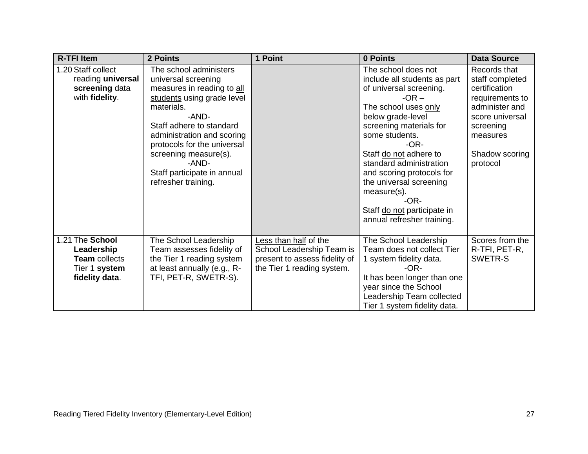| <b>R-TFI Item</b>                                                                        | 2 Points                                                                                                                                                                                                                                                                                                          | 1 Point                                                                                                           | 0 Points                                                                                                                                                                                                                                                                                                                                                                                         | <b>Data Source</b>                                                                                                                                              |
|------------------------------------------------------------------------------------------|-------------------------------------------------------------------------------------------------------------------------------------------------------------------------------------------------------------------------------------------------------------------------------------------------------------------|-------------------------------------------------------------------------------------------------------------------|--------------------------------------------------------------------------------------------------------------------------------------------------------------------------------------------------------------------------------------------------------------------------------------------------------------------------------------------------------------------------------------------------|-----------------------------------------------------------------------------------------------------------------------------------------------------------------|
| 1.20 Staff collect<br>reading universal<br>screening data<br>with fidelity.              | The school administers<br>universal screening<br>measures in reading to all<br>students using grade level<br>materials.<br>-AND-<br>Staff adhere to standard<br>administration and scoring<br>protocols for the universal<br>screening measure(s).<br>-AND-<br>Staff participate in annual<br>refresher training. |                                                                                                                   | The school does not<br>include all students as part<br>of universal screening.<br>$-OR -$<br>The school uses only<br>below grade-level<br>screening materials for<br>some students.<br>$-OR-$<br>Staff do not adhere to<br>standard administration<br>and scoring protocols for<br>the universal screening<br>measure(s).<br>$-OR-$<br>Staff do not participate in<br>annual refresher training. | Records that<br>staff completed<br>certification<br>requirements to<br>administer and<br>score universal<br>screening<br>measures<br>Shadow scoring<br>protocol |
| 1.21 The School<br>Leadership<br><b>Team</b> collects<br>Tier 1 system<br>fidelity data. | The School Leadership<br>Team assesses fidelity of<br>the Tier 1 reading system<br>at least annually (e.g., R-<br>TFI, PET-R, SWETR-S).                                                                                                                                                                           | Less than half of the<br>School Leadership Team is<br>present to assess fidelity of<br>the Tier 1 reading system. | The School Leadership<br>Team does not collect Tier<br>1 system fidelity data.<br>$-OR-$<br>It has been longer than one<br>year since the School<br>Leadership Team collected<br>Tier 1 system fidelity data.                                                                                                                                                                                    | Scores from the<br>R-TFI, PET-R,<br>SWETR-S                                                                                                                     |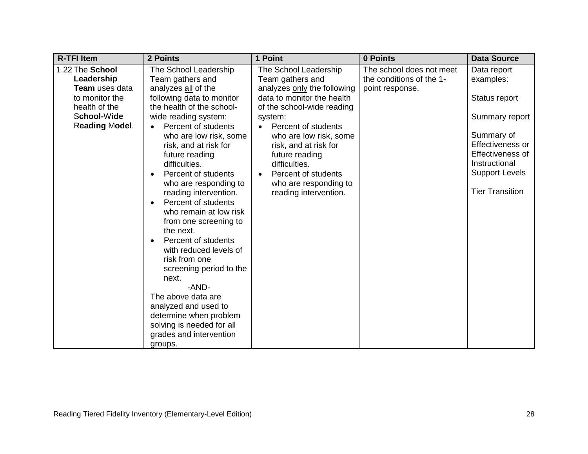| <b>R-TFI Item</b>                                                                                                                 | 2 Points                                                                                                                                                                                                                                                                                                                                                                                                                                                                                                                                                                                                                                                                                                                                      | 1 Point                                                                                                                                                                                                                                                                                                                                                         | 0 Points                                                                | <b>Data Source</b>                                                                                                                                                                    |
|-----------------------------------------------------------------------------------------------------------------------------------|-----------------------------------------------------------------------------------------------------------------------------------------------------------------------------------------------------------------------------------------------------------------------------------------------------------------------------------------------------------------------------------------------------------------------------------------------------------------------------------------------------------------------------------------------------------------------------------------------------------------------------------------------------------------------------------------------------------------------------------------------|-----------------------------------------------------------------------------------------------------------------------------------------------------------------------------------------------------------------------------------------------------------------------------------------------------------------------------------------------------------------|-------------------------------------------------------------------------|---------------------------------------------------------------------------------------------------------------------------------------------------------------------------------------|
| 1.22 The School<br>Leadership<br><b>Team</b> uses data<br>to monitor the<br>health of the<br>School-Wide<br><b>Reading Model.</b> | The School Leadership<br>Team gathers and<br>analyzes all of the<br>following data to monitor<br>the health of the school-<br>wide reading system:<br>Percent of students<br>$\bullet$<br>who are low risk, some<br>risk, and at risk for<br>future reading<br>difficulties.<br>Percent of students<br>$\bullet$<br>who are responding to<br>reading intervention.<br>Percent of students<br>$\bullet$<br>who remain at low risk<br>from one screening to<br>the next.<br>Percent of students<br>$\bullet$<br>with reduced levels of<br>risk from one<br>screening period to the<br>next.<br>-AND-<br>The above data are<br>analyzed and used to<br>determine when problem<br>solving is needed for all<br>grades and intervention<br>groups. | The School Leadership<br>Team gathers and<br>analyzes only the following<br>data to monitor the health<br>of the school-wide reading<br>system:<br>Percent of students<br>$\bullet$<br>who are low risk, some<br>risk, and at risk for<br>future reading<br>difficulties.<br>Percent of students<br>$\bullet$<br>who are responding to<br>reading intervention. | The school does not meet<br>the conditions of the 1-<br>point response. | Data report<br>examples:<br>Status report<br>Summary report<br>Summary of<br>Effectiveness or<br>Effectiveness of<br>Instructional<br><b>Support Levels</b><br><b>Tier Transition</b> |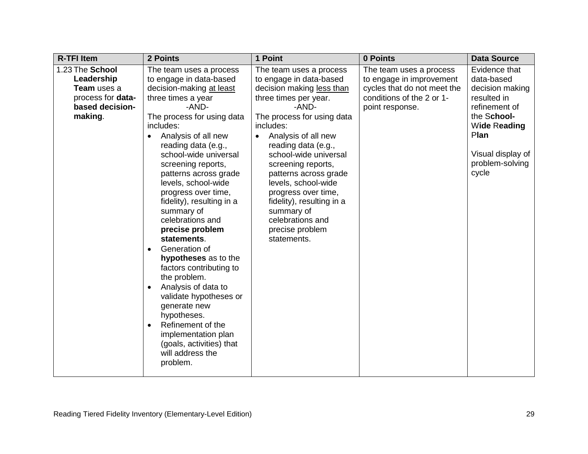| <b>R-TFI Item</b>                                                                                      | 2 Points                                                                                                                                                                                                                                                                                                                                                                                                                                                                                                                                                                                                                                                                                                                            | 1 Point                                                                                                                                                                                                                                                                                                                                                                                                                                        | 0 Points                                                                                                                           | <b>Data Source</b>                                                                                                                                                     |
|--------------------------------------------------------------------------------------------------------|-------------------------------------------------------------------------------------------------------------------------------------------------------------------------------------------------------------------------------------------------------------------------------------------------------------------------------------------------------------------------------------------------------------------------------------------------------------------------------------------------------------------------------------------------------------------------------------------------------------------------------------------------------------------------------------------------------------------------------------|------------------------------------------------------------------------------------------------------------------------------------------------------------------------------------------------------------------------------------------------------------------------------------------------------------------------------------------------------------------------------------------------------------------------------------------------|------------------------------------------------------------------------------------------------------------------------------------|------------------------------------------------------------------------------------------------------------------------------------------------------------------------|
| 1.23 The School<br>Leadership<br><b>Team</b> uses a<br>process for data-<br>based decision-<br>making. | The team uses a process<br>to engage in data-based<br>decision-making at least<br>three times a year<br>-AND-<br>The process for using data<br>includes:<br>Analysis of all new<br>reading data (e.g.,<br>school-wide universal<br>screening reports,<br>patterns across grade<br>levels, school-wide<br>progress over time,<br>fidelity), resulting in a<br>summary of<br>celebrations and<br>precise problem<br>statements.<br>Generation of<br>$\bullet$<br>hypotheses as to the<br>factors contributing to<br>the problem.<br>Analysis of data to<br>validate hypotheses or<br>generate new<br>hypotheses.<br>Refinement of the<br>$\bullet$<br>implementation plan<br>(goals, activities) that<br>will address the<br>problem. | The team uses a process<br>to engage in data-based<br>decision making less than<br>three times per year.<br>-AND-<br>The process for using data<br>includes:<br>Analysis of all new<br>$\bullet$<br>reading data (e.g.,<br>school-wide universal<br>screening reports,<br>patterns across grade<br>levels, school-wide<br>progress over time,<br>fidelity), resulting in a<br>summary of<br>celebrations and<br>precise problem<br>statements. | The team uses a process<br>to engage in improvement<br>cycles that do not meet the<br>conditions of the 2 or 1-<br>point response. | Evidence that<br>data-based<br>decision making<br>resulted in<br>refinement of<br>the School-<br>Wide Reading<br>Plan<br>Visual display of<br>problem-solving<br>cycle |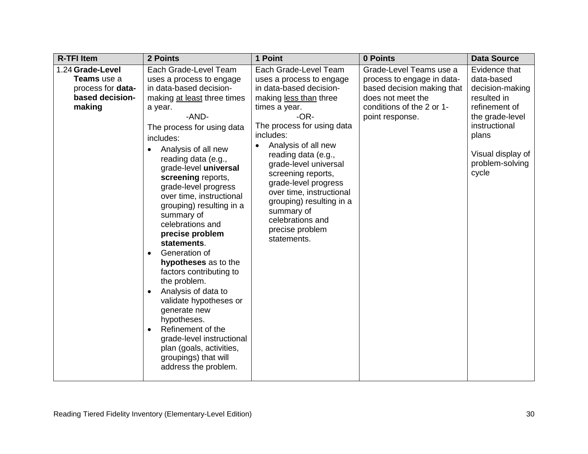| <b>R-TFI Item</b>                                                                 | 2 Points                                                                                                                                                                                                                                                                                                                                                                                                                                                                                                                                                                                                                                                                                                                                   | 1 Point                                                                                                                                                                                                                                                                                                                                                                                                                       | 0 Points                                                                                                                                                 | <b>Data Source</b>                                                                                                                                                           |
|-----------------------------------------------------------------------------------|--------------------------------------------------------------------------------------------------------------------------------------------------------------------------------------------------------------------------------------------------------------------------------------------------------------------------------------------------------------------------------------------------------------------------------------------------------------------------------------------------------------------------------------------------------------------------------------------------------------------------------------------------------------------------------------------------------------------------------------------|-------------------------------------------------------------------------------------------------------------------------------------------------------------------------------------------------------------------------------------------------------------------------------------------------------------------------------------------------------------------------------------------------------------------------------|----------------------------------------------------------------------------------------------------------------------------------------------------------|------------------------------------------------------------------------------------------------------------------------------------------------------------------------------|
| 1.24 Grade-Level<br>Teams use a<br>process for data-<br>based decision-<br>making | Each Grade-Level Team<br>uses a process to engage<br>in data-based decision-<br>making at least three times<br>a year.<br>-AND-<br>The process for using data<br>includes:<br>Analysis of all new<br>reading data (e.g.,<br>grade-level universal<br>screening reports,<br>grade-level progress<br>over time, instructional<br>grouping) resulting in a<br>summary of<br>celebrations and<br>precise problem<br>statements.<br>Generation of<br>hypotheses as to the<br>factors contributing to<br>the problem.<br>Analysis of data to<br>$\bullet$<br>validate hypotheses or<br>generate new<br>hypotheses.<br>Refinement of the<br>grade-level instructional<br>plan (goals, activities,<br>groupings) that will<br>address the problem. | Each Grade-Level Team<br>uses a process to engage<br>in data-based decision-<br>making less than three<br>times a year.<br>$-OR-$<br>The process for using data<br>includes:<br>Analysis of all new<br>reading data (e.g.,<br>grade-level universal<br>screening reports,<br>grade-level progress<br>over time, instructional<br>grouping) resulting in a<br>summary of<br>celebrations and<br>precise problem<br>statements. | Grade-Level Teams use a<br>process to engage in data-<br>based decision making that<br>does not meet the<br>conditions of the 2 or 1-<br>point response. | Evidence that<br>data-based<br>decision-making<br>resulted in<br>refinement of<br>the grade-level<br>instructional<br>plans<br>Visual display of<br>problem-solving<br>cycle |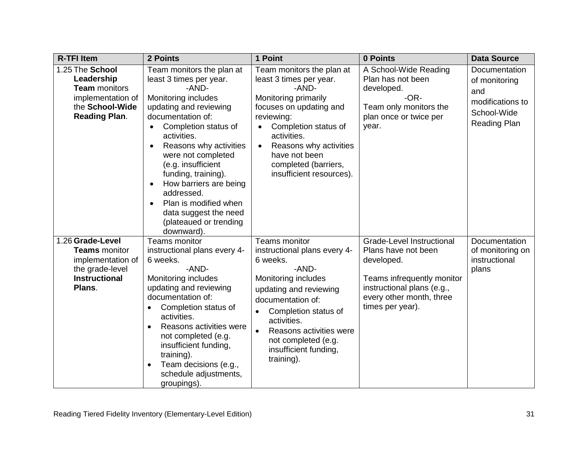| <b>R-TFI Item</b>                                                                                                     | 2 Points                                                                                                                                                                                                                                                                                                                                                                                                                                                      | 1 Point                                                                                                                                                                                                                                                                                            | 0 Points                                                                                                                                                                   | <b>Data Source</b>                                                                              |
|-----------------------------------------------------------------------------------------------------------------------|---------------------------------------------------------------------------------------------------------------------------------------------------------------------------------------------------------------------------------------------------------------------------------------------------------------------------------------------------------------------------------------------------------------------------------------------------------------|----------------------------------------------------------------------------------------------------------------------------------------------------------------------------------------------------------------------------------------------------------------------------------------------------|----------------------------------------------------------------------------------------------------------------------------------------------------------------------------|-------------------------------------------------------------------------------------------------|
| 1.25 The School<br>Leadership<br><b>Team</b> monitors<br>implementation of<br>the School-Wide<br><b>Reading Plan.</b> | Team monitors the plan at<br>least 3 times per year.<br>-AND-<br>Monitoring includes<br>updating and reviewing<br>documentation of:<br>Completion status of<br>$\bullet$<br>activities.<br>Reasons why activities<br>$\bullet$<br>were not completed<br>(e.g. insufficient<br>funding, training).<br>How barriers are being<br>$\bullet$<br>addressed.<br>Plan is modified when<br>$\bullet$<br>data suggest the need<br>(plateaued or trending<br>downward). | Team monitors the plan at<br>least 3 times per year.<br>-AND-<br>Monitoring primarily<br>focuses on updating and<br>reviewing:<br>Completion status of<br>activities.<br>Reasons why activities<br>$\bullet$<br>have not been<br>completed (barriers,<br>insufficient resources).                  | A School-Wide Reading<br>Plan has not been<br>developed.<br>$-OR-$<br>Team only monitors the<br>plan once or twice per<br>year.                                            | Documentation<br>of monitoring<br>and<br>modifications to<br>School-Wide<br><b>Reading Plan</b> |
| 1.26 Grade-Level<br><b>Teams</b> monitor<br>implementation of<br>the grade-level<br><b>Instructional</b><br>Plans.    | <b>Teams monitor</b><br>instructional plans every 4-<br>6 weeks.<br>-AND-<br>Monitoring includes<br>updating and reviewing<br>documentation of:<br>Completion status of<br>activities.<br>Reasons activities were<br>not completed (e.g.<br>insufficient funding,<br>training).<br>Team decisions (e.g.,<br>$\bullet$<br>schedule adjustments,<br>groupings).                                                                                                 | Teams monitor<br>instructional plans every 4-<br>6 weeks.<br>-AND-<br>Monitoring includes<br>updating and reviewing<br>documentation of:<br>Completion status of<br>$\bullet$<br>activities.<br>Reasons activities were<br>$\bullet$<br>not completed (e.g.<br>insufficient funding,<br>training). | Grade-Level Instructional<br>Plans have not been<br>developed.<br>Teams infrequently monitor<br>instructional plans (e.g.,<br>every other month, three<br>times per year). | Documentation<br>of monitoring on<br>instructional<br>plans                                     |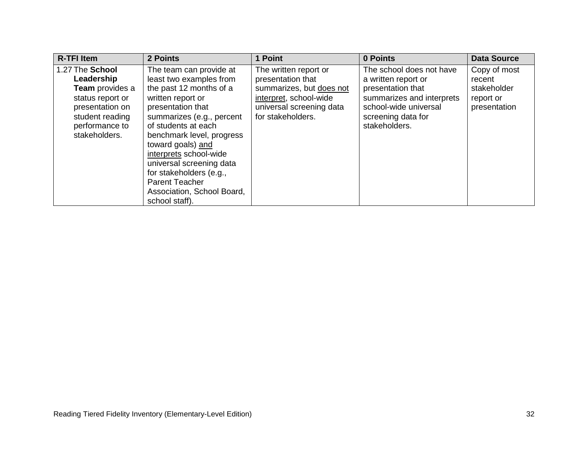| <b>R-TFI Item</b>                                                                                                                                    | 2 Points                                                                                                                                                                                                                                                                                                                                                                                | 1 Point                                                                                                                                           | 0 Points                                                                                                                                                          | <b>Data Source</b>                                                 |
|------------------------------------------------------------------------------------------------------------------------------------------------------|-----------------------------------------------------------------------------------------------------------------------------------------------------------------------------------------------------------------------------------------------------------------------------------------------------------------------------------------------------------------------------------------|---------------------------------------------------------------------------------------------------------------------------------------------------|-------------------------------------------------------------------------------------------------------------------------------------------------------------------|--------------------------------------------------------------------|
| 1.27 The School<br>Leadership<br><b>Team</b> provides a<br>status report or<br>presentation on<br>student reading<br>performance to<br>stakeholders. | The team can provide at<br>least two examples from<br>the past 12 months of a<br>written report or<br>presentation that<br>summarizes (e.g., percent<br>of students at each<br>benchmark level, progress<br>toward goals) and<br>interprets school-wide<br>universal screening data<br>for stakeholders (e.g.,<br><b>Parent Teacher</b><br>Association, School Board,<br>school staff). | The written report or<br>presentation that<br>summarizes, but does not<br>interpret, school-wide<br>universal screening data<br>for stakeholders. | The school does not have<br>a written report or<br>presentation that<br>summarizes and interprets<br>school-wide universal<br>screening data for<br>stakeholders. | Copy of most<br>recent<br>stakeholder<br>report or<br>presentation |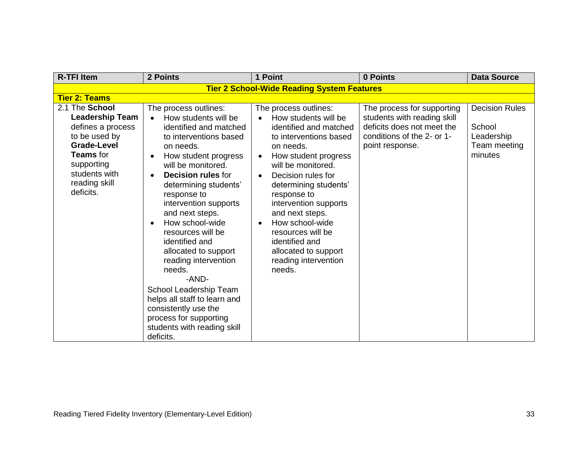| <b>R-TFI Item</b>                                                                                                                                                                     | 2 Points                                                                                                                                                                                                                                                                                                                                                                                                                                                                                                                                                                                                  | 1 Point                                                                                                                                                                                                                                                                                                                                                                                                              | 0 Points                                                                                                                                 | <b>Data Source</b>                                                       |
|---------------------------------------------------------------------------------------------------------------------------------------------------------------------------------------|-----------------------------------------------------------------------------------------------------------------------------------------------------------------------------------------------------------------------------------------------------------------------------------------------------------------------------------------------------------------------------------------------------------------------------------------------------------------------------------------------------------------------------------------------------------------------------------------------------------|----------------------------------------------------------------------------------------------------------------------------------------------------------------------------------------------------------------------------------------------------------------------------------------------------------------------------------------------------------------------------------------------------------------------|------------------------------------------------------------------------------------------------------------------------------------------|--------------------------------------------------------------------------|
|                                                                                                                                                                                       |                                                                                                                                                                                                                                                                                                                                                                                                                                                                                                                                                                                                           | <b>Tier 2 School-Wide Reading System Features</b>                                                                                                                                                                                                                                                                                                                                                                    |                                                                                                                                          |                                                                          |
| <b>Tier 2: Teams</b>                                                                                                                                                                  |                                                                                                                                                                                                                                                                                                                                                                                                                                                                                                                                                                                                           |                                                                                                                                                                                                                                                                                                                                                                                                                      |                                                                                                                                          |                                                                          |
| 2.1 The School<br><b>Leadership Team</b><br>defines a process<br>to be used by<br><b>Grade-Level</b><br><b>Teams</b> for<br>supporting<br>students with<br>reading skill<br>deficits. | The process outlines:<br>How students will be<br>identified and matched<br>to interventions based<br>on needs.<br>How student progress<br>$\bullet$<br>will be monitored.<br><b>Decision rules for</b><br>$\bullet$<br>determining students'<br>response to<br>intervention supports<br>and next steps.<br>How school-wide<br>$\bullet$<br>resources will be<br>identified and<br>allocated to support<br>reading intervention<br>needs.<br>-AND-<br>School Leadership Team<br>helps all staff to learn and<br>consistently use the<br>process for supporting<br>students with reading skill<br>deficits. | The process outlines:<br>How students will be<br>identified and matched<br>to interventions based<br>on needs.<br>How student progress<br>$\bullet$<br>will be monitored.<br>Decision rules for<br>$\bullet$<br>determining students'<br>response to<br>intervention supports<br>and next steps.<br>How school-wide<br>resources will be<br>identified and<br>allocated to support<br>reading intervention<br>needs. | The process for supporting<br>students with reading skill<br>deficits does not meet the<br>conditions of the 2- or 1-<br>point response. | <b>Decision Rules</b><br>School<br>Leadership<br>Team meeting<br>minutes |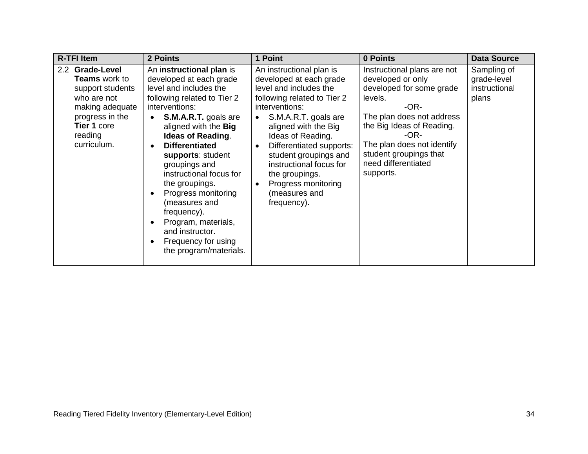| <b>R-TFI Item</b>                                                                                                                                         | 2 Points                                                                                                                                                                                                                                                                                                                                                                                                                                                                                                  | 1 Point                                                                                                                                                                                                                                                                                                                                                      | 0 Points                                                                                                                                                                                                                                                      | <b>Data Source</b>                                   |
|-----------------------------------------------------------------------------------------------------------------------------------------------------------|-----------------------------------------------------------------------------------------------------------------------------------------------------------------------------------------------------------------------------------------------------------------------------------------------------------------------------------------------------------------------------------------------------------------------------------------------------------------------------------------------------------|--------------------------------------------------------------------------------------------------------------------------------------------------------------------------------------------------------------------------------------------------------------------------------------------------------------------------------------------------------------|---------------------------------------------------------------------------------------------------------------------------------------------------------------------------------------------------------------------------------------------------------------|------------------------------------------------------|
| 2.2 Grade-Level<br><b>Teams</b> work to<br>support students<br>who are not<br>making adequate<br>progress in the<br>Tier 1 core<br>reading<br>curriculum. | An instructional plan is<br>developed at each grade<br>level and includes the<br>following related to Tier 2<br>interventions:<br><b>S.M.A.R.T.</b> goals are<br>aligned with the Big<br><b>Ideas of Reading.</b><br><b>Differentiated</b><br>$\bullet$<br>supports: student<br>groupings and<br>instructional focus for<br>the groupings.<br>Progress monitoring<br>$\bullet$<br>(measures and<br>frequency).<br>Program, materials,<br>and instructor.<br>Frequency for using<br>the program/materials. | An instructional plan is<br>developed at each grade<br>level and includes the<br>following related to Tier 2<br>interventions:<br>S.M.A.R.T. goals are<br>aligned with the Big<br>Ideas of Reading.<br>Differentiated supports:<br>student groupings and<br>instructional focus for<br>the groupings.<br>Progress monitoring<br>(measures and<br>frequency). | Instructional plans are not<br>developed or only<br>developed for some grade<br>levels.<br>-OR-<br>The plan does not address<br>the Big Ideas of Reading.<br>-OR-<br>The plan does not identify<br>student groupings that<br>need differentiated<br>supports. | Sampling of<br>grade-level<br>instructional<br>plans |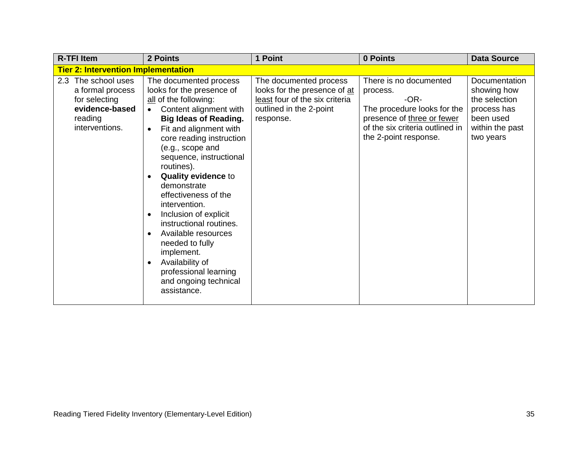| <b>R-TFI Item</b>                                                                                       | 2 Points                                                                                                                                                                                                                                                                                                                                                                                                                                                                                                                                        | 1 Point                                                                                                                          | 0 Points                                                                                                                                                              | <b>Data Source</b>                                                                                               |
|---------------------------------------------------------------------------------------------------------|-------------------------------------------------------------------------------------------------------------------------------------------------------------------------------------------------------------------------------------------------------------------------------------------------------------------------------------------------------------------------------------------------------------------------------------------------------------------------------------------------------------------------------------------------|----------------------------------------------------------------------------------------------------------------------------------|-----------------------------------------------------------------------------------------------------------------------------------------------------------------------|------------------------------------------------------------------------------------------------------------------|
| <b>Tier 2: Intervention Implementation</b>                                                              |                                                                                                                                                                                                                                                                                                                                                                                                                                                                                                                                                 |                                                                                                                                  |                                                                                                                                                                       |                                                                                                                  |
| 2.3 The school uses<br>a formal process<br>for selecting<br>evidence-based<br>reading<br>interventions. | The documented process<br>looks for the presence of<br>all of the following:<br>Content alignment with<br><b>Big Ideas of Reading.</b><br>Fit and alignment with<br>core reading instruction<br>(e.g., scope and<br>sequence, instructional<br>routines).<br><b>Quality evidence to</b><br>demonstrate<br>effectiveness of the<br>intervention.<br>Inclusion of explicit<br>instructional routines.<br>Available resources<br>needed to fully<br>implement.<br>Availability of<br>professional learning<br>and ongoing technical<br>assistance. | The documented process<br>looks for the presence of at<br>least four of the six criteria<br>outlined in the 2-point<br>response. | There is no documented<br>process.<br>$-OR-$<br>The procedure looks for the<br>presence of three or fewer<br>of the six criteria outlined in<br>the 2-point response. | <b>Documentation</b><br>showing how<br>the selection<br>process has<br>been used<br>within the past<br>two years |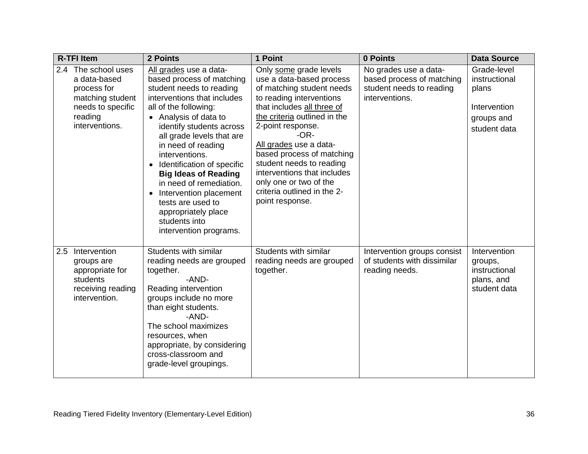| <b>R-TFI Item</b> |                                                                                                                          | 2 Points                                                                                                                                                                                                                                                                                                                                                                                                                                                                                             | 1 Point                                                                                                                                                                                                                                                                                                                                                                                                | 0 Points                                                                                         | <b>Data Source</b>                                                                  |
|-------------------|--------------------------------------------------------------------------------------------------------------------------|------------------------------------------------------------------------------------------------------------------------------------------------------------------------------------------------------------------------------------------------------------------------------------------------------------------------------------------------------------------------------------------------------------------------------------------------------------------------------------------------------|--------------------------------------------------------------------------------------------------------------------------------------------------------------------------------------------------------------------------------------------------------------------------------------------------------------------------------------------------------------------------------------------------------|--------------------------------------------------------------------------------------------------|-------------------------------------------------------------------------------------|
|                   | 2.4 The school uses<br>a data-based<br>process for<br>matching student<br>needs to specific<br>reading<br>interventions. | All grades use a data-<br>based process of matching<br>student needs to reading<br>interventions that includes<br>all of the following:<br>• Analysis of data to<br>identify students across<br>all grade levels that are<br>in need of reading<br>interventions.<br>Identification of specific<br>$\bullet$<br><b>Big Ideas of Reading</b><br>in need of remediation.<br>Intervention placement<br>$\bullet$<br>tests are used to<br>appropriately place<br>students into<br>intervention programs. | Only some grade levels<br>use a data-based process<br>of matching student needs<br>to reading interventions<br>that includes all three of<br>the criteria outlined in the<br>2-point response.<br>$-OR-$<br>All grades use a data-<br>based process of matching<br>student needs to reading<br>interventions that includes<br>only one or two of the<br>criteria outlined in the 2-<br>point response. | No grades use a data-<br>based process of matching<br>student needs to reading<br>interventions. | Grade-level<br>instructional<br>plans<br>Intervention<br>groups and<br>student data |
| 2.5               | Intervention<br>groups are<br>appropriate for<br>students<br>receiving reading<br>intervention.                          | Students with similar<br>reading needs are grouped<br>together.<br>-AND-<br>Reading intervention<br>groups include no more<br>than eight students.<br>-AND-<br>The school maximizes<br>resources, when<br>appropriate, by considering<br>cross-classroom and<br>grade-level groupings.                                                                                                                                                                                                               | Students with similar<br>reading needs are grouped<br>together.                                                                                                                                                                                                                                                                                                                                        | Intervention groups consist<br>of students with dissimilar<br>reading needs.                     | Intervention<br>groups,<br>instructional<br>plans, and<br>student data              |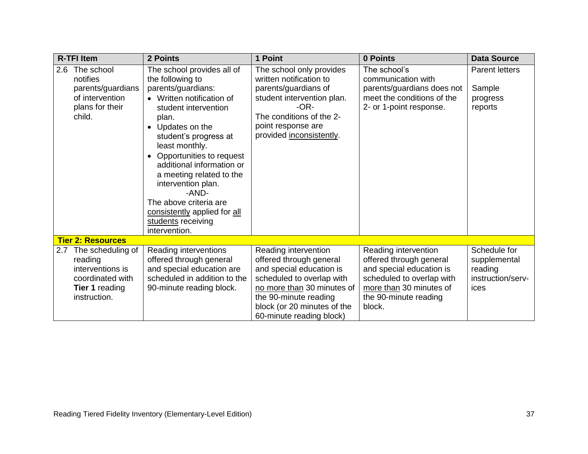| <b>R-TFI Item</b>                                                                                                 | 2 Points                                                                                                                                                                                                                                                                                                                                                                                                                                       | 1 Point                                                                                                                                                                                                                    | 0 Points                                                                                                                                                               | <b>Data Source</b>                                                   |
|-------------------------------------------------------------------------------------------------------------------|------------------------------------------------------------------------------------------------------------------------------------------------------------------------------------------------------------------------------------------------------------------------------------------------------------------------------------------------------------------------------------------------------------------------------------------------|----------------------------------------------------------------------------------------------------------------------------------------------------------------------------------------------------------------------------|------------------------------------------------------------------------------------------------------------------------------------------------------------------------|----------------------------------------------------------------------|
| The school<br>2.6<br>notifies<br>parents/guardians<br>of intervention<br>plans for their<br>child.                | The school provides all of<br>the following to<br>parents/guardians:<br>• Written notification of<br>student intervention<br>plan.<br>Updates on the<br>$\bullet$<br>student's progress at<br>least monthly.<br>Opportunities to request<br>$\bullet$<br>additional information or<br>a meeting related to the<br>intervention plan.<br>-AND-<br>The above criteria are<br>consistently applied for all<br>students receiving<br>intervention. | The school only provides<br>written notification to<br>parents/guardians of<br>student intervention plan.<br>$-OR-$<br>The conditions of the 2-<br>point response are<br>provided inconsistently.                          | The school's<br>communication with<br>parents/guardians does not<br>meet the conditions of the<br>2- or 1-point response.                                              | <b>Parent letters</b><br>Sample<br>progress<br>reports               |
| <b>Tier 2: Resources</b>                                                                                          |                                                                                                                                                                                                                                                                                                                                                                                                                                                |                                                                                                                                                                                                                            |                                                                                                                                                                        |                                                                      |
| 2.7 The scheduling of<br>reading<br>interventions is<br>coordinated with<br><b>Tier 1 reading</b><br>instruction. | Reading interventions<br>offered through general<br>and special education are<br>scheduled in addition to the<br>90-minute reading block.                                                                                                                                                                                                                                                                                                      | Reading intervention<br>offered through general<br>and special education is<br>scheduled to overlap with<br>no more than 30 minutes of<br>the 90-minute reading<br>block (or 20 minutes of the<br>60-minute reading block) | Reading intervention<br>offered through general<br>and special education is<br>scheduled to overlap with<br>more than 30 minutes of<br>the 90-minute reading<br>block. | Schedule for<br>supplemental<br>reading<br>instruction/serv-<br>ices |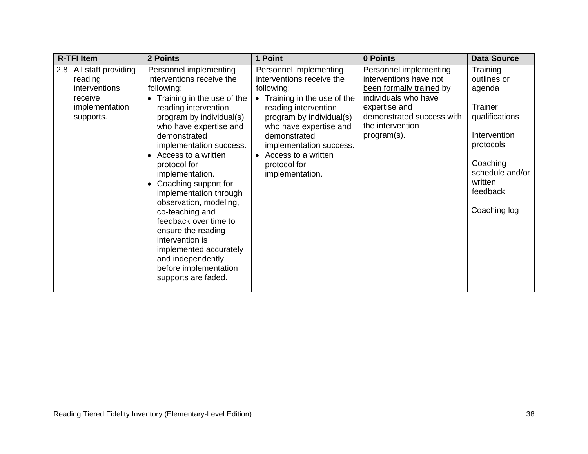| <b>R-TFI Item</b>                                                                                | 2 Points                                                                                                                                                                                                                                                                                                                                                                                                                                                                                                                                           | 1 Point                                                                                                                                                                                                                                                                              | 0 Points                                                                                                                                                                              | <b>Data Source</b>                                                                                                                                                |
|--------------------------------------------------------------------------------------------------|----------------------------------------------------------------------------------------------------------------------------------------------------------------------------------------------------------------------------------------------------------------------------------------------------------------------------------------------------------------------------------------------------------------------------------------------------------------------------------------------------------------------------------------------------|--------------------------------------------------------------------------------------------------------------------------------------------------------------------------------------------------------------------------------------------------------------------------------------|---------------------------------------------------------------------------------------------------------------------------------------------------------------------------------------|-------------------------------------------------------------------------------------------------------------------------------------------------------------------|
| All staff providing<br>2.8<br>reading<br>interventions<br>receive<br>implementation<br>supports. | Personnel implementing<br>interventions receive the<br>following:<br>Training in the use of the<br>reading intervention<br>program by individual(s)<br>who have expertise and<br>demonstrated<br>implementation success.<br>Access to a written<br>protocol for<br>implementation.<br>Coaching support for<br>implementation through<br>observation, modeling,<br>co-teaching and<br>feedback over time to<br>ensure the reading<br>intervention is<br>implemented accurately<br>and independently<br>before implementation<br>supports are faded. | Personnel implementing<br>interventions receive the<br>following:<br>• Training in the use of the<br>reading intervention<br>program by individual(s)<br>who have expertise and<br>demonstrated<br>implementation success.<br>Access to a written<br>protocol for<br>implementation. | Personnel implementing<br>interventions have not<br>been formally trained by<br>individuals who have<br>expertise and<br>demonstrated success with<br>the intervention<br>program(s). | Training<br>outlines or<br>agenda<br>Trainer<br>qualifications<br>Intervention<br>protocols<br>Coaching<br>schedule and/or<br>written<br>feedback<br>Coaching log |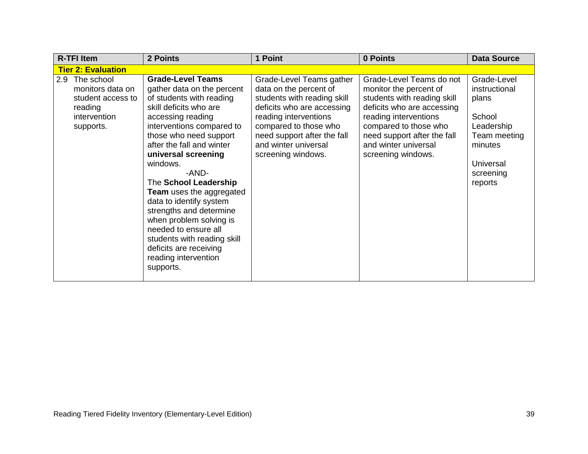| <b>R-TFI Item</b>                                                                                  | 2 Points                                                                                                                                                                                                                                                                                                                                                                                                                                                                                                                      | 1 Point                                                                                                                                                                                                                                        | 0 Points                                                                                                                                                                                                                                       | <b>Data Source</b>                                                                                                            |
|----------------------------------------------------------------------------------------------------|-------------------------------------------------------------------------------------------------------------------------------------------------------------------------------------------------------------------------------------------------------------------------------------------------------------------------------------------------------------------------------------------------------------------------------------------------------------------------------------------------------------------------------|------------------------------------------------------------------------------------------------------------------------------------------------------------------------------------------------------------------------------------------------|------------------------------------------------------------------------------------------------------------------------------------------------------------------------------------------------------------------------------------------------|-------------------------------------------------------------------------------------------------------------------------------|
| <b>Tier 2: Evaluation</b>                                                                          |                                                                                                                                                                                                                                                                                                                                                                                                                                                                                                                               |                                                                                                                                                                                                                                                |                                                                                                                                                                                                                                                |                                                                                                                               |
| 2.9<br>The school<br>monitors data on<br>student access to<br>reading<br>intervention<br>supports. | <b>Grade-Level Teams</b><br>gather data on the percent<br>of students with reading<br>skill deficits who are<br>accessing reading<br>interventions compared to<br>those who need support<br>after the fall and winter<br>universal screening<br>windows.<br>-AND-<br>The School Leadership<br>Team uses the aggregated<br>data to identify system<br>strengths and determine<br>when problem solving is<br>needed to ensure all<br>students with reading skill<br>deficits are receiving<br>reading intervention<br>supports. | Grade-Level Teams gather<br>data on the percent of<br>students with reading skill<br>deficits who are accessing<br>reading interventions<br>compared to those who<br>need support after the fall<br>and winter universal<br>screening windows. | Grade-Level Teams do not<br>monitor the percent of<br>students with reading skill<br>deficits who are accessing<br>reading interventions<br>compared to those who<br>need support after the fall<br>and winter universal<br>screening windows. | Grade-Level<br>instructional<br>plans<br>School<br>Leadership<br>Team meeting<br>minutes<br>Universal<br>screening<br>reports |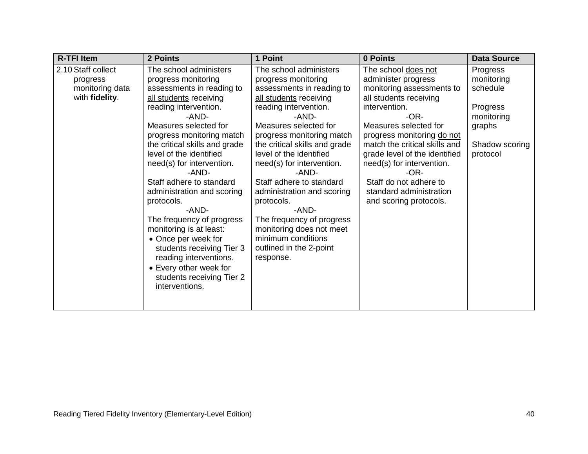| <b>R-TFI Item</b><br>2 Points                                                     |                                                                                                                                                                                                                                                                                                                                                                                                                                                                                                                                                                                  | 1 Point                                                                                                                                                                                                                                                                                                                                                                                                                                                                                                | 0 Points                                                                                                                                                                                                                                                                                                                                                                    | <b>Data Source</b>                                                                                   |
|-----------------------------------------------------------------------------------|----------------------------------------------------------------------------------------------------------------------------------------------------------------------------------------------------------------------------------------------------------------------------------------------------------------------------------------------------------------------------------------------------------------------------------------------------------------------------------------------------------------------------------------------------------------------------------|--------------------------------------------------------------------------------------------------------------------------------------------------------------------------------------------------------------------------------------------------------------------------------------------------------------------------------------------------------------------------------------------------------------------------------------------------------------------------------------------------------|-----------------------------------------------------------------------------------------------------------------------------------------------------------------------------------------------------------------------------------------------------------------------------------------------------------------------------------------------------------------------------|------------------------------------------------------------------------------------------------------|
| 2.10 Staff collect<br>progress<br>monitoring data<br>with fidelity.<br>protocols. | The school administers<br>progress monitoring<br>assessments in reading to<br>all students receiving<br>reading intervention.<br>-AND-<br>Measures selected for<br>progress monitoring match<br>the critical skills and grade<br>level of the identified<br>need(s) for intervention.<br>-AND-<br>Staff adhere to standard<br>administration and scoring<br>-AND-<br>The frequency of progress<br>monitoring is at least:<br>• Once per week for<br>students receiving Tier 3<br>reading interventions.<br>• Every other week for<br>students receiving Tier 2<br>interventions. | The school administers<br>progress monitoring<br>assessments in reading to<br>all students receiving<br>reading intervention.<br>-AND-<br>Measures selected for<br>progress monitoring match<br>the critical skills and grade<br>level of the identified<br>need(s) for intervention.<br>-AND-<br>Staff adhere to standard<br>administration and scoring<br>protocols.<br>-AND-<br>The frequency of progress<br>monitoring does not meet<br>minimum conditions<br>outlined in the 2-point<br>response. | The school does not<br>administer progress<br>monitoring assessments to<br>all students receiving<br>intervention.<br>$-OR-$<br>Measures selected for<br>progress monitoring do not<br>match the critical skills and<br>grade level of the identified<br>need(s) for intervention.<br>$-OR-$<br>Staff do not adhere to<br>standard administration<br>and scoring protocols. | Progress<br>monitoring<br>schedule<br>Progress<br>monitoring<br>graphs<br>Shadow scoring<br>protocol |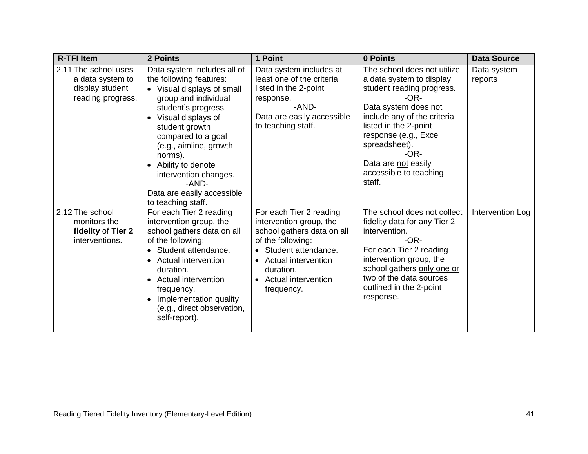| <b>R-TFI Item</b>                                                                | 2 Points                                                                                                                                                                                                                                                                                                                                                         | 1 Point                                                                                                                                                                                                             | 0 Points                                                                                                                                                                                                                                                                                    | <b>Data Source</b>     |
|----------------------------------------------------------------------------------|------------------------------------------------------------------------------------------------------------------------------------------------------------------------------------------------------------------------------------------------------------------------------------------------------------------------------------------------------------------|---------------------------------------------------------------------------------------------------------------------------------------------------------------------------------------------------------------------|---------------------------------------------------------------------------------------------------------------------------------------------------------------------------------------------------------------------------------------------------------------------------------------------|------------------------|
| 2.11 The school uses<br>a data system to<br>display student<br>reading progress. | Data system includes all of<br>the following features:<br>• Visual displays of small<br>group and individual<br>student's progress.<br>Visual displays of<br>$\bullet$<br>student growth<br>compared to a goal<br>(e.g., aimline, growth<br>norms).<br>• Ability to denote<br>intervention changes.<br>-AND-<br>Data are easily accessible<br>to teaching staff. | Data system includes at<br>least one of the criteria<br>listed in the 2-point<br>response.<br>-AND-<br>Data are easily accessible<br>to teaching staff.                                                             | The school does not utilize<br>a data system to display<br>student reading progress.<br>$-OR-$<br>Data system does not<br>include any of the criteria<br>listed in the 2-point<br>response (e.g., Excel<br>spreadsheet).<br>-OR-<br>Data are not easily<br>accessible to teaching<br>staff. | Data system<br>reports |
| 2.12 The school<br>monitors the<br>fidelity of Tier 2<br>interventions.          | For each Tier 2 reading<br>intervention group, the<br>school gathers data on all<br>of the following:<br>Student attendance.<br>• Actual intervention<br>duration.<br>• Actual intervention<br>frequency.<br>Implementation quality<br>(e.g., direct observation,<br>self-report).                                                                               | For each Tier 2 reading<br>intervention group, the<br>school gathers data on all<br>of the following:<br>Student attendance.<br><b>Actual intervention</b><br>duration.<br><b>Actual intervention</b><br>frequency. | The school does not collect<br>fidelity data for any Tier 2<br>intervention.<br>$-OR-$<br>For each Tier 2 reading<br>intervention group, the<br>school gathers only one or<br>two of the data sources<br>outlined in the 2-point<br>response.                                               | Intervention Log       |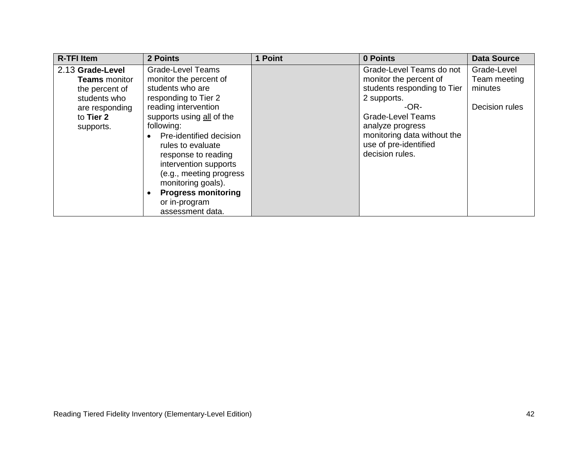| <b>R-TFI Item</b>                                                                                                      | 2 Points                                                                                                                                                                                                                                                                                                                                                                              | 1 Point | 0 Points                                                                                                                                                                                                                              | <b>Data Source</b>                                       |
|------------------------------------------------------------------------------------------------------------------------|---------------------------------------------------------------------------------------------------------------------------------------------------------------------------------------------------------------------------------------------------------------------------------------------------------------------------------------------------------------------------------------|---------|---------------------------------------------------------------------------------------------------------------------------------------------------------------------------------------------------------------------------------------|----------------------------------------------------------|
| 2.13 Grade-Level<br><b>Teams</b> monitor<br>the percent of<br>students who<br>are responding<br>to Tier 2<br>supports. | <b>Grade-Level Teams</b><br>monitor the percent of<br>students who are<br>responding to Tier 2<br>reading intervention<br>supports using all of the<br>following:<br>Pre-identified decision<br>rules to evaluate<br>response to reading<br>intervention supports<br>(e.g., meeting progress<br>monitoring goals).<br><b>Progress monitoring</b><br>or in-program<br>assessment data. |         | Grade-Level Teams do not<br>monitor the percent of<br>students responding to Tier<br>2 supports.<br>$-OR-$<br><b>Grade-Level Teams</b><br>analyze progress<br>monitoring data without the<br>use of pre-identified<br>decision rules. | Grade-Level<br>Team meeting<br>minutes<br>Decision rules |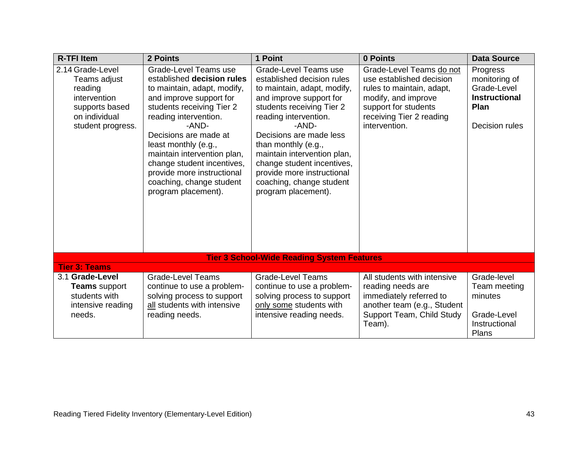| <b>R-TFI Item</b>                                                                                                   | 2 Points                                                                                                                                                                                                                                                                                                                                                                    | 1 Point                                                                                                                                                                                                                                                                                                                                                                      | 0 Points                                                                                                                                                                      | <b>Data Source</b>                                                                                |
|---------------------------------------------------------------------------------------------------------------------|-----------------------------------------------------------------------------------------------------------------------------------------------------------------------------------------------------------------------------------------------------------------------------------------------------------------------------------------------------------------------------|------------------------------------------------------------------------------------------------------------------------------------------------------------------------------------------------------------------------------------------------------------------------------------------------------------------------------------------------------------------------------|-------------------------------------------------------------------------------------------------------------------------------------------------------------------------------|---------------------------------------------------------------------------------------------------|
| 2.14 Grade-Level<br>Teams adjust<br>reading<br>intervention<br>supports based<br>on individual<br>student progress. | Grade-Level Teams use<br>established decision rules<br>to maintain, adapt, modify,<br>and improve support for<br>students receiving Tier 2<br>reading intervention.<br>-AND-<br>Decisions are made at<br>least monthly (e.g.,<br>maintain intervention plan,<br>change student incentives,<br>provide more instructional<br>coaching, change student<br>program placement). | Grade-Level Teams use<br>established decision rules<br>to maintain, adapt, modify,<br>and improve support for<br>students receiving Tier 2<br>reading intervention.<br>-AND-<br>Decisions are made less<br>than monthly (e.g.,<br>maintain intervention plan,<br>change student incentives,<br>provide more instructional<br>coaching, change student<br>program placement). | Grade-Level Teams do not<br>use established decision<br>rules to maintain, adapt,<br>modify, and improve<br>support for students<br>receiving Tier 2 reading<br>intervention. | Progress<br>monitoring of<br>Grade-Level<br><b>Instructional</b><br><b>Plan</b><br>Decision rules |
|                                                                                                                     |                                                                                                                                                                                                                                                                                                                                                                             | <b>Tier 3 School-Wide Reading System Features</b>                                                                                                                                                                                                                                                                                                                            |                                                                                                                                                                               |                                                                                                   |
| <b>Tier 3: Teams</b>                                                                                                |                                                                                                                                                                                                                                                                                                                                                                             |                                                                                                                                                                                                                                                                                                                                                                              |                                                                                                                                                                               |                                                                                                   |
| 3.1 Grade-Level<br><b>Teams</b> support<br>students with<br>intensive reading<br>needs.                             | <b>Grade-Level Teams</b><br>continue to use a problem-<br>solving process to support<br>all students with intensive<br>reading needs.                                                                                                                                                                                                                                       | <b>Grade-Level Teams</b><br>continue to use a problem-<br>solving process to support<br>only some students with<br>intensive reading needs.                                                                                                                                                                                                                                  | All students with intensive<br>reading needs are<br>immediately referred to<br>another team (e.g., Student<br>Support Team, Child Study<br>Team).                             | Grade-level<br>Team meeting<br>minutes<br>Grade-Level<br>Instructional<br>Plans                   |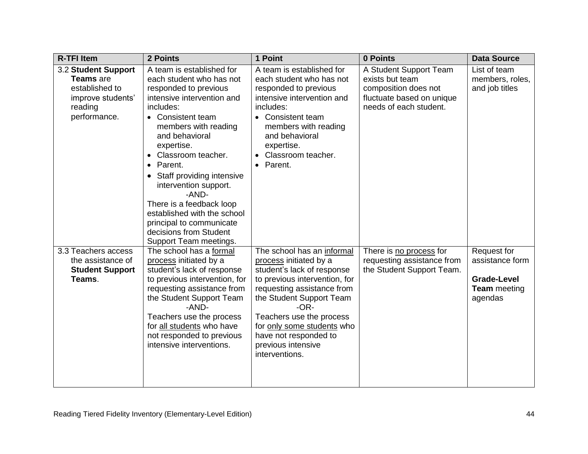| <b>R-TFI Item</b>                                                                                  | 2 Points                                                                                                                                                                                                                                                                                                                                                                                                                                                                               | 1 Point                                                                                                                                                                                                                                                                                                            | 0 Points                                                                                                                 | <b>Data Source</b>                                                                            |
|----------------------------------------------------------------------------------------------------|----------------------------------------------------------------------------------------------------------------------------------------------------------------------------------------------------------------------------------------------------------------------------------------------------------------------------------------------------------------------------------------------------------------------------------------------------------------------------------------|--------------------------------------------------------------------------------------------------------------------------------------------------------------------------------------------------------------------------------------------------------------------------------------------------------------------|--------------------------------------------------------------------------------------------------------------------------|-----------------------------------------------------------------------------------------------|
| 3.2 Student Support<br>Teams are<br>established to<br>improve students'<br>reading<br>performance. | A team is established for<br>each student who has not<br>responded to previous<br>intensive intervention and<br>includes:<br>Consistent team<br>$\bullet$<br>members with reading<br>and behavioral<br>expertise.<br>Classroom teacher.<br>Parent.<br>$\bullet$<br>Staff providing intensive<br>$\bullet$<br>intervention support.<br>-AND-<br>There is a feedback loop<br>established with the school<br>principal to communicate<br>decisions from Student<br>Support Team meetings. | A team is established for<br>each student who has not<br>responded to previous<br>intensive intervention and<br>includes:<br><b>Consistent team</b><br>$\bullet$<br>members with reading<br>and behavioral<br>expertise.<br>Classroom teacher.<br>Parent.<br>$\bullet$                                             | A Student Support Team<br>exists but team<br>composition does not<br>fluctuate based on unique<br>needs of each student. | List of team<br>members, roles,<br>and job titles                                             |
| 3.3 Teachers access<br>the assistance of<br><b>Student Support</b><br>Teams.                       | The school has a formal<br>process initiated by a<br>student's lack of response<br>to previous intervention, for<br>requesting assistance from<br>the Student Support Team<br>-AND-<br>Teachers use the process<br>for all students who have<br>not responded to previous<br>intensive interventions.                                                                                                                                                                                  | The school has an informal<br>process initiated by a<br>student's lack of response<br>to previous intervention, for<br>requesting assistance from<br>the Student Support Team<br>$-OR-$<br>Teachers use the process<br>for only some students who<br>have not responded to<br>previous intensive<br>interventions. | There is no process for<br>requesting assistance from<br>the Student Support Team.                                       | <b>Request for</b><br>assistance form<br><b>Grade-Level</b><br><b>Team</b> meeting<br>agendas |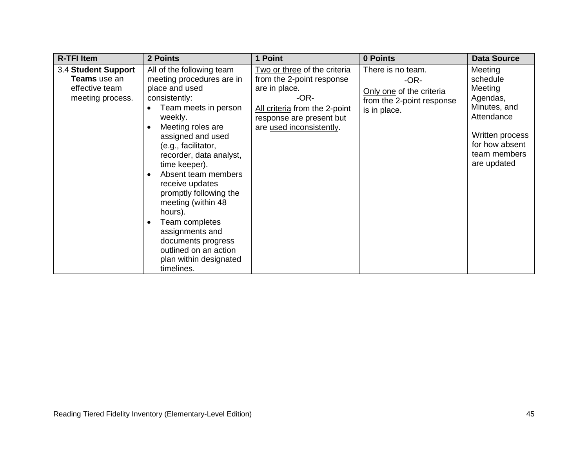| <b>R-TFI Item</b>                                                         | 2 Points                                                                                                                                                                                                                                                                                                                                                                                                                                                                   | 1 Point                                                                                                                                                                     | 0 Points                                                                                             | <b>Data Source</b>                                                                                                                           |
|---------------------------------------------------------------------------|----------------------------------------------------------------------------------------------------------------------------------------------------------------------------------------------------------------------------------------------------------------------------------------------------------------------------------------------------------------------------------------------------------------------------------------------------------------------------|-----------------------------------------------------------------------------------------------------------------------------------------------------------------------------|------------------------------------------------------------------------------------------------------|----------------------------------------------------------------------------------------------------------------------------------------------|
| 3.4 Student Support<br>Teams use an<br>effective team<br>meeting process. | All of the following team<br>meeting procedures are in<br>place and used<br>consistently:<br>Team meets in person<br>weekly.<br>Meeting roles are<br>assigned and used<br>(e.g., facilitator,<br>recorder, data analyst,<br>time keeper).<br>Absent team members<br>receive updates<br>promptly following the<br>meeting (within 48<br>hours).<br>Team completes<br>assignments and<br>documents progress<br>outlined on an action<br>plan within designated<br>timelines. | Two or three of the criteria<br>from the 2-point response<br>are in place.<br>-OR-<br>All criteria from the 2-point<br>response are present but<br>are used inconsistently. | There is no team.<br>$-OR-$<br>Only one of the criteria<br>from the 2-point response<br>is in place. | Meeting<br>schedule<br>Meeting<br>Agendas,<br>Minutes, and<br>Attendance<br>Written process<br>for how absent<br>team members<br>are updated |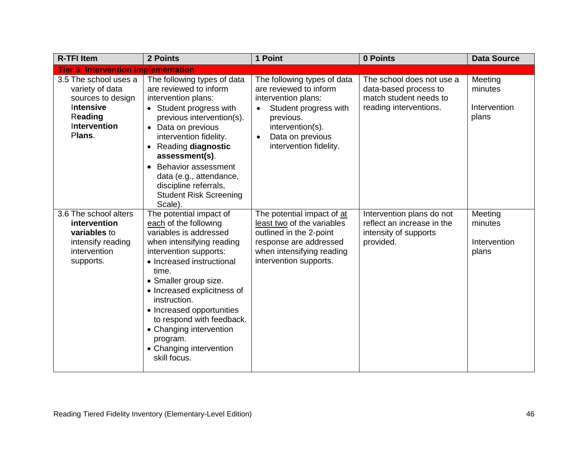| <b>R-TFI Item</b>                                                                                               | 2 Points                                                                                                                                                                                                                                                                                                                                                                                    | 1 Point                                                                                                                                                                                           | 0 Points                                                                                               | <b>Data Source</b>                          |
|-----------------------------------------------------------------------------------------------------------------|---------------------------------------------------------------------------------------------------------------------------------------------------------------------------------------------------------------------------------------------------------------------------------------------------------------------------------------------------------------------------------------------|---------------------------------------------------------------------------------------------------------------------------------------------------------------------------------------------------|--------------------------------------------------------------------------------------------------------|---------------------------------------------|
| <b>Tier 3: Intervention Implementation</b>                                                                      |                                                                                                                                                                                                                                                                                                                                                                                             |                                                                                                                                                                                                   |                                                                                                        |                                             |
| 3.5 The school uses a<br>variety of data<br>sources to design<br>Intensive<br>Reading<br>Intervention<br>Plans. | The following types of data<br>are reviewed to inform<br>intervention plans:<br>• Student progress with<br>previous intervention(s).<br>• Data on previous<br>intervention fidelity.<br>Reading diagnostic<br>assessment(s).<br><b>Behavior assessment</b><br>data (e.g., attendance,<br>discipline referrals,<br><b>Student Risk Screening</b><br>Scale).                                  | The following types of data<br>are reviewed to inform<br>intervention plans:<br>Student progress with<br>previous.<br>intervention(s).<br>Data on previous<br>$\bullet$<br>intervention fidelity. | The school does not use a<br>data-based process to<br>match student needs to<br>reading interventions. | Meeting<br>minutes<br>Intervention<br>plans |
| 3.6 The school alters<br>intervention<br>variables to<br>intensify reading<br>intervention<br>supports.         | The potential impact of<br>each of the following<br>variables is addressed<br>when intensifying reading<br>intervention supports:<br>• Increased instructional<br>time.<br>• Smaller group size.<br>• Increased explicitness of<br>instruction.<br>• Increased opportunities<br>to respond with feedback.<br>• Changing intervention<br>program.<br>• Changing intervention<br>skill focus. | The potential impact of at<br>least two of the variables<br>outlined in the 2-point<br>response are addressed<br>when intensifying reading<br>intervention supports.                              | Intervention plans do not<br>reflect an increase in the<br>intensity of supports<br>provided.          | Meeting<br>minutes<br>Intervention<br>plans |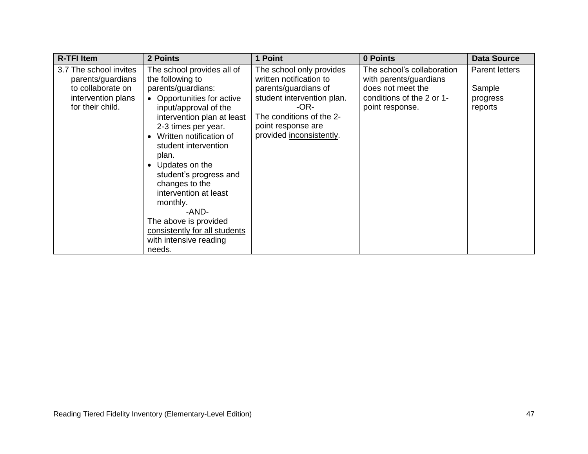| <b>R-TFI Item</b>                           | 2 Points                                       | 1 Point                                             | 0 Points                                             | <b>Data Source</b>    |
|---------------------------------------------|------------------------------------------------|-----------------------------------------------------|------------------------------------------------------|-----------------------|
| 3.7 The school invites<br>parents/guardians | The school provides all of<br>the following to | The school only provides<br>written notification to | The school's collaboration<br>with parents/guardians | <b>Parent letters</b> |
| to collaborate on                           | parents/guardians:                             | parents/guardians of                                | does not meet the                                    | Sample                |
| intervention plans                          | Opportunities for active                       | student intervention plan.                          | conditions of the 2 or 1-                            | progress              |
| for their child.                            | input/approval of the                          | -OR-                                                | point response.                                      | reports               |
|                                             | intervention plan at least                     | The conditions of the 2-                            |                                                      |                       |
|                                             | 2-3 times per year.                            | point response are                                  |                                                      |                       |
|                                             | Written notification of                        | provided inconsistently.                            |                                                      |                       |
|                                             | student intervention                           |                                                     |                                                      |                       |
|                                             | plan.<br>Updates on the                        |                                                     |                                                      |                       |
|                                             | student's progress and                         |                                                     |                                                      |                       |
|                                             | changes to the                                 |                                                     |                                                      |                       |
|                                             | intervention at least                          |                                                     |                                                      |                       |
|                                             | monthly.                                       |                                                     |                                                      |                       |
|                                             | -AND-                                          |                                                     |                                                      |                       |
|                                             | The above is provided                          |                                                     |                                                      |                       |
|                                             | consistently for all students                  |                                                     |                                                      |                       |
|                                             | with intensive reading                         |                                                     |                                                      |                       |
|                                             | needs.                                         |                                                     |                                                      |                       |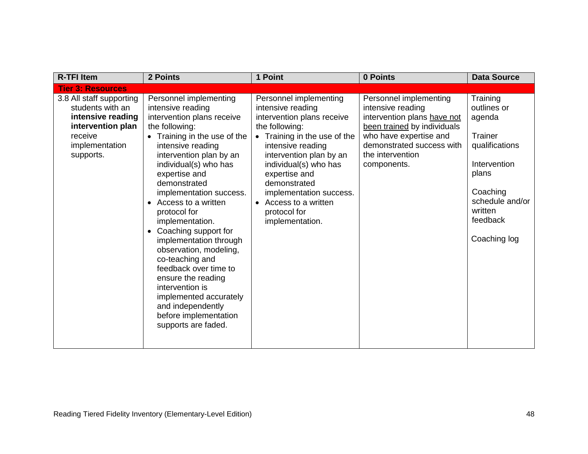| <b>R-TFI Item</b>                                                                                                                | 2 Points                                                                                                                                                                                                                                                                                                                                                                                                                                                                                                                                                                                   | 1 Point                                                                                                                                                                                                                                                                                                                                 | 0 Points                                                                                                                                                                                            | <b>Data Source</b>                                                                                                                                            |
|----------------------------------------------------------------------------------------------------------------------------------|--------------------------------------------------------------------------------------------------------------------------------------------------------------------------------------------------------------------------------------------------------------------------------------------------------------------------------------------------------------------------------------------------------------------------------------------------------------------------------------------------------------------------------------------------------------------------------------------|-----------------------------------------------------------------------------------------------------------------------------------------------------------------------------------------------------------------------------------------------------------------------------------------------------------------------------------------|-----------------------------------------------------------------------------------------------------------------------------------------------------------------------------------------------------|---------------------------------------------------------------------------------------------------------------------------------------------------------------|
| <b>Tier 3: Resources</b>                                                                                                         |                                                                                                                                                                                                                                                                                                                                                                                                                                                                                                                                                                                            |                                                                                                                                                                                                                                                                                                                                         |                                                                                                                                                                                                     |                                                                                                                                                               |
| 3.8 All staff supporting<br>students with an<br>intensive reading<br>intervention plan<br>receive<br>implementation<br>supports. | Personnel implementing<br>intensive reading<br>intervention plans receive<br>the following:<br>• Training in the use of the<br>intensive reading<br>intervention plan by an<br>individual(s) who has<br>expertise and<br>demonstrated<br>implementation success.<br>Access to a written<br>protocol for<br>implementation.<br>Coaching support for<br>implementation through<br>observation, modeling,<br>co-teaching and<br>feedback over time to<br>ensure the reading<br>intervention is<br>implemented accurately<br>and independently<br>before implementation<br>supports are faded. | Personnel implementing<br>intensive reading<br>intervention plans receive<br>the following:<br>• Training in the use of the<br>intensive reading<br>intervention plan by an<br>individual(s) who has<br>expertise and<br>demonstrated<br>implementation success.<br>Access to a written<br>$\bullet$<br>protocol for<br>implementation. | Personnel implementing<br>intensive reading<br>intervention plans have not<br>been trained by individuals<br>who have expertise and<br>demonstrated success with<br>the intervention<br>components. | Training<br>outlines or<br>agenda<br>Trainer<br>qualifications<br>Intervention<br>plans<br>Coaching<br>schedule and/or<br>written<br>feedback<br>Coaching log |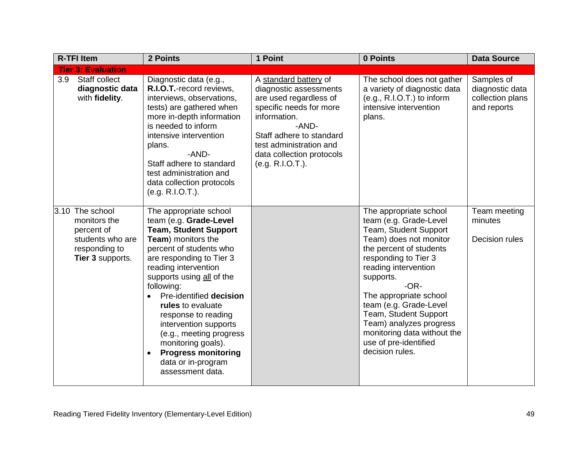|     | <b>R-TFI Item</b>                                                                                      | 2 Points                                                                                                                                                                                                                                                                                                                                                                                                                                                  | 1 Point                                                                                                                                                                                                                               | 0 Points                                                                                                                                                                                                                                                                                                                                                                                 | <b>Data Source</b>                                               |
|-----|--------------------------------------------------------------------------------------------------------|-----------------------------------------------------------------------------------------------------------------------------------------------------------------------------------------------------------------------------------------------------------------------------------------------------------------------------------------------------------------------------------------------------------------------------------------------------------|---------------------------------------------------------------------------------------------------------------------------------------------------------------------------------------------------------------------------------------|------------------------------------------------------------------------------------------------------------------------------------------------------------------------------------------------------------------------------------------------------------------------------------------------------------------------------------------------------------------------------------------|------------------------------------------------------------------|
|     | <b>Tier 3: Evaluation</b>                                                                              |                                                                                                                                                                                                                                                                                                                                                                                                                                                           |                                                                                                                                                                                                                                       |                                                                                                                                                                                                                                                                                                                                                                                          |                                                                  |
| 3.9 | Staff collect<br>diagnostic data<br>with fidelity.                                                     | Diagnostic data (e.g.,<br>R.I.O.T.-record reviews,<br>interviews, observations,<br>tests) are gathered when<br>more in-depth information<br>is needed to inform<br>intensive intervention<br>plans.<br>-AND-<br>Staff adhere to standard<br>test administration and<br>data collection protocols<br>(e.g. R.I.O.T.).                                                                                                                                      | A standard battery of<br>diagnostic assessments<br>are used regardless of<br>specific needs for more<br>information.<br>-AND-<br>Staff adhere to standard<br>test administration and<br>data collection protocols<br>(e.g. R.I.O.T.). | The school does not gather<br>a variety of diagnostic data<br>$(e.g., R.I.O.T.)$ to inform<br>intensive intervention<br>plans.                                                                                                                                                                                                                                                           | Samples of<br>diagnostic data<br>collection plans<br>and reports |
|     | 3.10 The school<br>monitors the<br>percent of<br>students who are<br>responding to<br>Tier 3 supports. | The appropriate school<br>team (e.g. Grade-Level<br><b>Team, Student Support</b><br>Team) monitors the<br>percent of students who<br>are responding to Tier 3<br>reading intervention<br>supports using all of the<br>following:<br>Pre-identified decision<br>rules to evaluate<br>response to reading<br>intervention supports<br>(e.g., meeting progress<br>monitoring goals).<br><b>Progress monitoring</b><br>data or in-program<br>assessment data. |                                                                                                                                                                                                                                       | The appropriate school<br>team (e.g. Grade-Level<br>Team, Student Support<br>Team) does not monitor<br>the percent of students<br>responding to Tier 3<br>reading intervention<br>supports.<br>$-OR-$<br>The appropriate school<br>team (e.g. Grade-Level<br>Team, Student Support<br>Team) analyzes progress<br>monitoring data without the<br>use of pre-identified<br>decision rules. | Team meeting<br>minutes<br>Decision rules                        |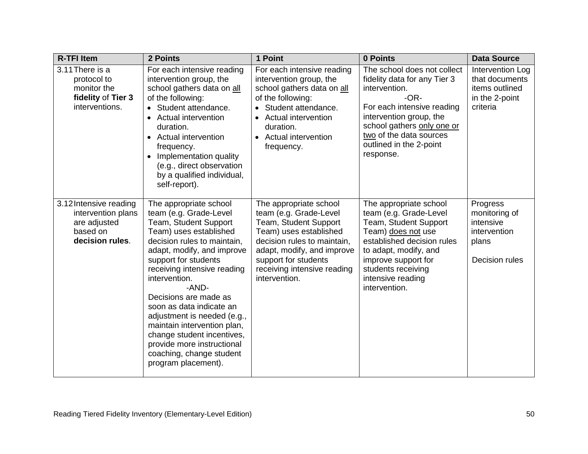| <b>R-TFI Item</b>                                                                           | 2 Points                                                                                                                                                                                                                                                                                                                                                                                                                                                                            | 1 Point                                                                                                                                                                                                                                  | 0 Points                                                                                                                                                                                                                                         | <b>Data Source</b>                                                                 |
|---------------------------------------------------------------------------------------------|-------------------------------------------------------------------------------------------------------------------------------------------------------------------------------------------------------------------------------------------------------------------------------------------------------------------------------------------------------------------------------------------------------------------------------------------------------------------------------------|------------------------------------------------------------------------------------------------------------------------------------------------------------------------------------------------------------------------------------------|--------------------------------------------------------------------------------------------------------------------------------------------------------------------------------------------------------------------------------------------------|------------------------------------------------------------------------------------|
| 3.11 There is a<br>protocol to<br>monitor the<br>fidelity of Tier 3<br>interventions.       | For each intensive reading<br>intervention group, the<br>school gathers data on all<br>of the following:<br>• Student attendance.<br>• Actual intervention<br>duration.<br>• Actual intervention<br>frequency.<br>Implementation quality<br>(e.g., direct observation<br>by a qualified individual,<br>self-report).                                                                                                                                                                | For each intensive reading<br>intervention group, the<br>school gathers data on all<br>of the following:<br>Student attendance.<br><b>Actual intervention</b><br>duration.<br><b>Actual intervention</b><br>$\bullet$<br>frequency.      | The school does not collect<br>fidelity data for any Tier 3<br>intervention.<br>$-OR-$<br>For each intensive reading<br>intervention group, the<br>school gathers only one or<br>two of the data sources<br>outlined in the 2-point<br>response. | Intervention Log<br>that documents<br>items outlined<br>in the 2-point<br>criteria |
| 3.12 Intensive reading<br>intervention plans<br>are adjusted<br>based on<br>decision rules. | The appropriate school<br>team (e.g. Grade-Level<br>Team, Student Support<br>Team) uses established<br>decision rules to maintain,<br>adapt, modify, and improve<br>support for students<br>receiving intensive reading<br>intervention.<br>-AND-<br>Decisions are made as<br>soon as data indicate an<br>adjustment is needed (e.g.,<br>maintain intervention plan,<br>change student incentives,<br>provide more instructional<br>coaching, change student<br>program placement). | The appropriate school<br>team (e.g. Grade-Level<br>Team, Student Support<br>Team) uses established<br>decision rules to maintain,<br>adapt, modify, and improve<br>support for students<br>receiving intensive reading<br>intervention. | The appropriate school<br>team (e.g. Grade-Level<br>Team, Student Support<br>Team) does not use<br>established decision rules<br>to adapt, modify, and<br>improve support for<br>students receiving<br>intensive reading<br>intervention.        | Progress<br>monitoring of<br>intensive<br>intervention<br>plans<br>Decision rules  |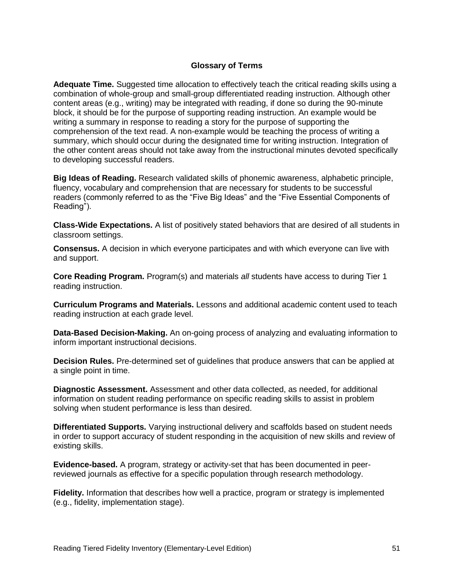### **Glossary of Terms**

**Adequate Time.** Suggested time allocation to effectively teach the critical reading skills using a combination of whole-group and small-group differentiated reading instruction. Although other content areas (e.g., writing) may be integrated with reading, if done so during the 90-minute block, it should be for the purpose of supporting reading instruction. An example would be writing a summary in response to reading a story for the purpose of supporting the comprehension of the text read. A non-example would be teaching the process of writing a summary, which should occur during the designated time for writing instruction. Integration of the other content areas should not take away from the instructional minutes devoted specifically to developing successful readers.

**Big Ideas of Reading.** Research validated skills of phonemic awareness, alphabetic principle, fluency, vocabulary and comprehension that are necessary for students to be successful readers (commonly referred to as the "Five Big Ideas" and the "Five Essential Components of Reading").

**Class-Wide Expectations.** A list of positively stated behaviors that are desired of all students in classroom settings.

**Consensus.** A decision in which everyone participates and with which everyone can live with and support.

**Core Reading Program.** Program(s) and materials *all* students have access to during Tier 1 reading instruction.

**Curriculum Programs and Materials.** Lessons and additional academic content used to teach reading instruction at each grade level.

**Data-Based Decision-Making.** An on-going process of analyzing and evaluating information to inform important instructional decisions.

**Decision Rules.** Pre-determined set of guidelines that produce answers that can be applied at a single point in time.

**Diagnostic Assessment.** Assessment and other data collected, as needed, for additional information on student reading performance on specific reading skills to assist in problem solving when student performance is less than desired.

**Differentiated Supports.** Varying instructional delivery and scaffolds based on student needs in order to support accuracy of student responding in the acquisition of new skills and review of existing skills.

**Evidence-based.** A program, strategy or activity-set that has been documented in peerreviewed journals as effective for a specific population through research methodology.

**Fidelity.** Information that describes how well a practice, program or strategy is implemented (e.g., fidelity, implementation stage).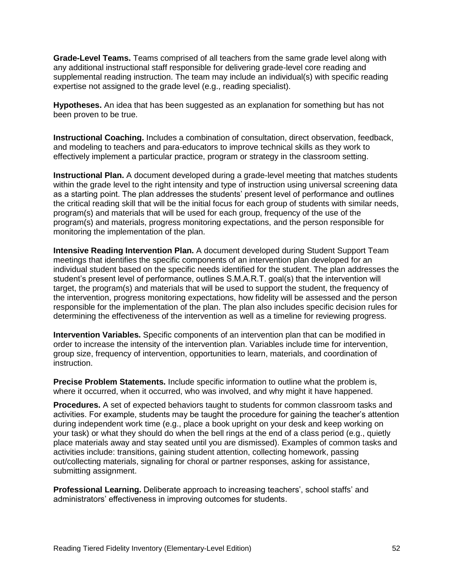**Grade-Level Teams.** Teams comprised of all teachers from the same grade level along with any additional instructional staff responsible for delivering grade-level core reading and supplemental reading instruction. The team may include an individual(s) with specific reading expertise not assigned to the grade level (e.g., reading specialist).

**Hypotheses.** An idea that has been suggested as an explanation for something but has not been proven to be true.

**Instructional Coaching.** Includes a combination of consultation, direct observation, feedback, and modeling to teachers and para-educators to improve technical skills as they work to effectively implement a particular practice, program or strategy in the classroom setting.

**Instructional Plan.** A document developed during a grade-level meeting that matches students within the grade level to the right intensity and type of instruction using universal screening data as a starting point. The plan addresses the students' present level of performance and outlines the critical reading skill that will be the initial focus for each group of students with similar needs, program(s) and materials that will be used for each group, frequency of the use of the program(s) and materials, progress monitoring expectations, and the person responsible for monitoring the implementation of the plan.

**Intensive Reading Intervention Plan.** A document developed during Student Support Team meetings that identifies the specific components of an intervention plan developed for an individual student based on the specific needs identified for the student. The plan addresses the student's present level of performance, outlines S.M.A.R.T. goal(s) that the intervention will target, the program(s) and materials that will be used to support the student, the frequency of the intervention, progress monitoring expectations, how fidelity will be assessed and the person responsible for the implementation of the plan. The plan also includes specific decision rules for determining the effectiveness of the intervention as well as a timeline for reviewing progress.

**Intervention Variables.** Specific components of an intervention plan that can be modified in order to increase the intensity of the intervention plan. Variables include time for intervention, group size, frequency of intervention, opportunities to learn, materials, and coordination of instruction.

**Precise Problem Statements.** Include specific information to outline what the problem is, where it occurred, when it occurred, who was involved, and why might it have happened.

**Procedures.** A set of expected behaviors taught to students for common classroom tasks and activities. For example, students may be taught the procedure for gaining the teacher's attention during independent work time (e.g., place a book upright on your desk and keep working on your task) or what they should do when the bell rings at the end of a class period (e.g., quietly place materials away and stay seated until you are dismissed). Examples of common tasks and activities include: transitions, gaining student attention, collecting homework, passing out/collecting materials, signaling for choral or partner responses, asking for assistance, submitting assignment.

**Professional Learning.** Deliberate approach to increasing teachers', school staffs' and administrators' effectiveness in improving outcomes for students.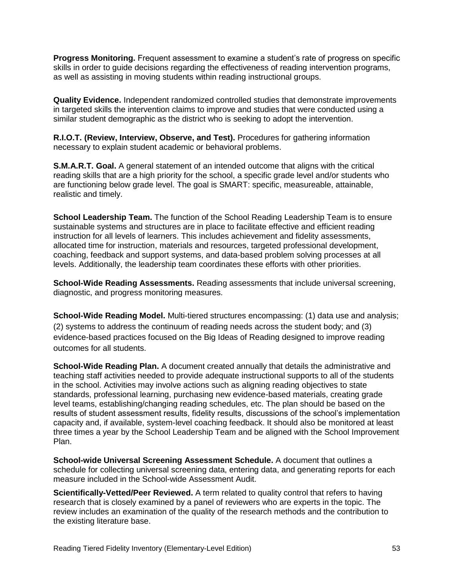**Progress Monitoring.** Frequent assessment to examine a student's rate of progress on specific skills in order to guide decisions regarding the effectiveness of reading intervention programs, as well as assisting in moving students within reading instructional groups.

**Quality Evidence.** Independent randomized controlled studies that demonstrate improvements in targeted skills the intervention claims to improve and studies that were conducted using a similar student demographic as the district who is seeking to adopt the intervention.

**R.I.O.T. (Review, Interview, Observe, and Test).** Procedures for gathering information necessary to explain student academic or behavioral problems.

**S.M.A.R.T. Goal.** A general statement of an intended outcome that aligns with the critical reading skills that are a high priority for the school, a specific grade level and/or students who are functioning below grade level. The goal is SMART: specific, measureable, attainable, realistic and timely.

**School Leadership Team.** The function of the School Reading Leadership Team is to ensure sustainable systems and structures are in place to facilitate effective and efficient reading instruction for all levels of learners. This includes achievement and fidelity assessments, allocated time for instruction, materials and resources, targeted professional development, coaching, feedback and support systems, and data-based problem solving processes at all levels. Additionally, the leadership team coordinates these efforts with other priorities.

**School-Wide Reading Assessments.** Reading assessments that include universal screening, diagnostic, and progress monitoring measures.

**School-Wide Reading Model.** Multi-tiered structures encompassing: (1) data use and analysis; (2) systems to address the continuum of reading needs across the student body; and (3) evidence-based practices focused on the Big Ideas of Reading designed to improve reading outcomes for all students.

**School-Wide Reading Plan.** A document created annually that details the administrative and teaching staff activities needed to provide adequate instructional supports to all of the students in the school. Activities may involve actions such as aligning reading objectives to state standards, professional learning, purchasing new evidence-based materials, creating grade level teams, establishing/changing reading schedules, etc. The plan should be based on the results of student assessment results, fidelity results, discussions of the school's implementation capacity and, if available, system-level coaching feedback. It should also be monitored at least three times a year by the School Leadership Team and be aligned with the School Improvement Plan.

**School-wide Universal Screening Assessment Schedule.** A document that outlines a schedule for collecting universal screening data, entering data, and generating reports for each measure included in the School-wide Assessment Audit.

**Scientifically-Vetted/Peer Reviewed.** A term related to quality control that refers to having research that is closely examined by a panel of reviewers who are experts in the topic. The review includes an examination of the quality of the research methods and the contribution to the existing literature base.